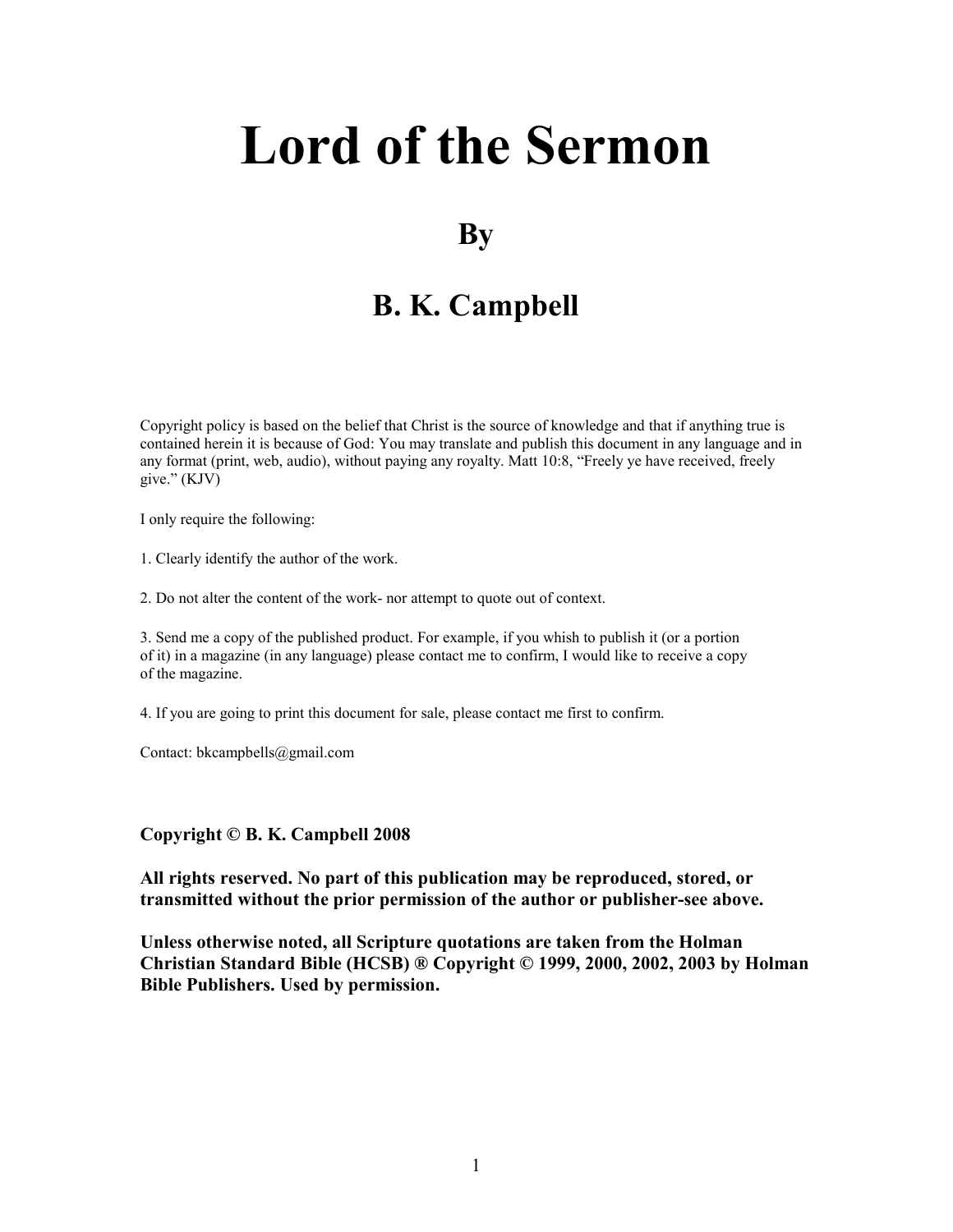# Lord of the Sermon

## **By**

### B. K. Campbell

Copyright policy is based on the belief that Christ is the source of knowledge and that if anything true is contained herein it is because of God: You may translate and publish this document in any language and in any format (print, web, audio), without paying any royalty. Matt 10:8, "Freely ye have received, freely give." (KJV)

I only require the following:

1. Clearly identify the author of the work.

2. Do not alter the content of the work- nor attempt to quote out of context.

3. Send me a copy of the published product. For example, if you whish to publish it (or a portion of it) in a magazine (in any language) please contact me to confirm, I would like to receive a copy of the magazine.

4. If you are going to print this document for sale, please contact me first to confirm.

Contact: bkcampbells@gmail.com

Copyright © B. K. Campbell 2008

All rights reserved. No part of this publication may be reproduced, stored, or transmitted without the prior permission of the author or publisher-see above.

Unless otherwise noted, all Scripture quotations are taken from the Holman Christian Standard Bible (HCSB) ® Copyright © 1999, 2000, 2002, 2003 by Holman Bible Publishers. Used by permission.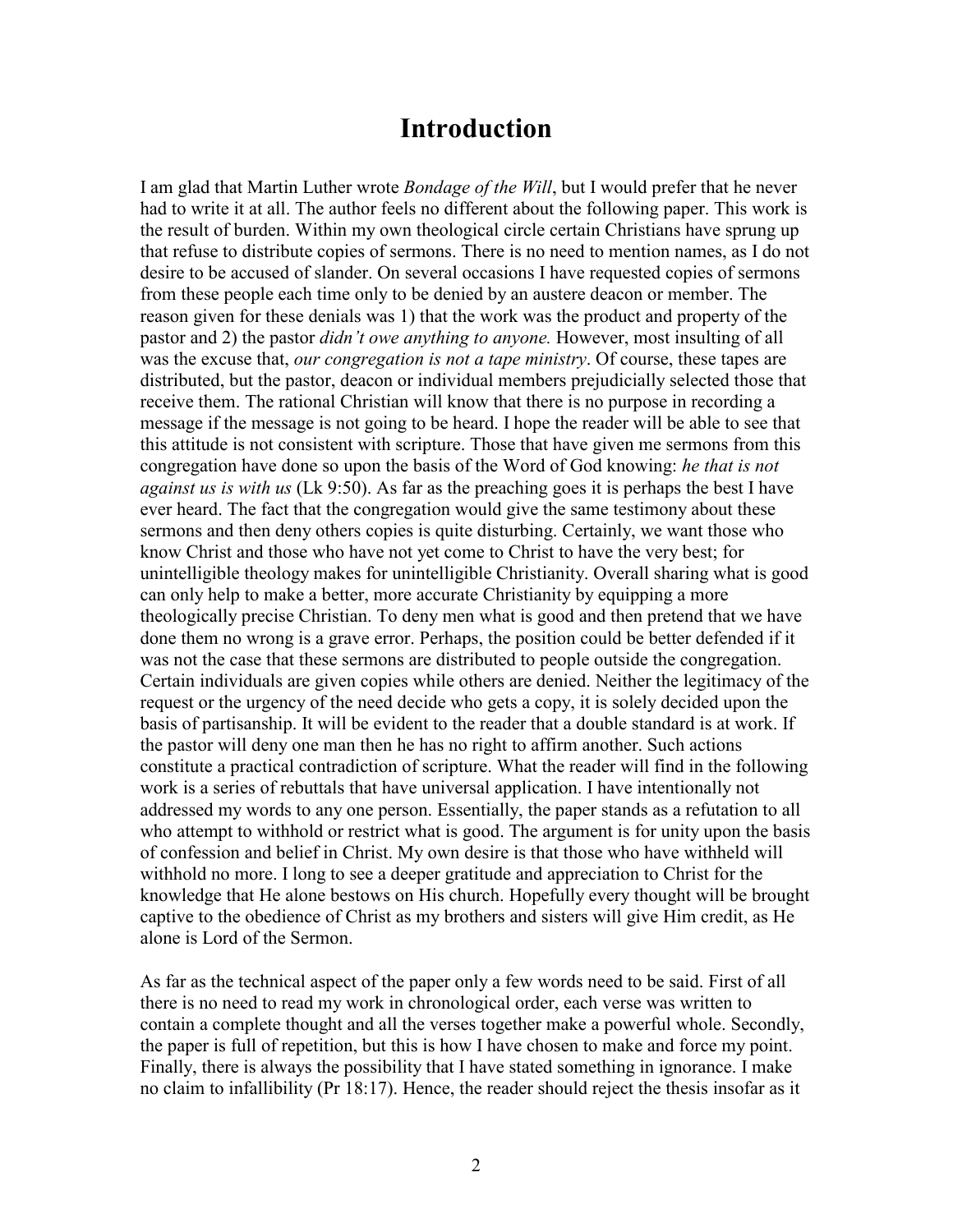#### Introduction

I am glad that Martin Luther wrote Bondage of the Will, but I would prefer that he never had to write it at all. The author feels no different about the following paper. This work is the result of burden. Within my own theological circle certain Christians have sprung up that refuse to distribute copies of sermons. There is no need to mention names, as I do not desire to be accused of slander. On several occasions I have requested copies of sermons from these people each time only to be denied by an austere deacon or member. The reason given for these denials was 1) that the work was the product and property of the pastor and 2) the pastor *didn't owe anything to anyone*. However, most insulting of all was the excuse that, our congregation is not a tape ministry. Of course, these tapes are distributed, but the pastor, deacon or individual members prejudicially selected those that receive them. The rational Christian will know that there is no purpose in recording a message if the message is not going to be heard. I hope the reader will be able to see that this attitude is not consistent with scripture. Those that have given me sermons from this congregation have done so upon the basis of the Word of God knowing: he that is not against us is with us (Lk 9:50). As far as the preaching goes it is perhaps the best I have ever heard. The fact that the congregation would give the same testimony about these sermons and then deny others copies is quite disturbing. Certainly, we want those who know Christ and those who have not yet come to Christ to have the very best; for unintelligible theology makes for unintelligible Christianity. Overall sharing what is good can only help to make a better, more accurate Christianity by equipping a more theologically precise Christian. To deny men what is good and then pretend that we have done them no wrong is a grave error. Perhaps, the position could be better defended if it was not the case that these sermons are distributed to people outside the congregation. Certain individuals are given copies while others are denied. Neither the legitimacy of the request or the urgency of the need decide who gets a copy, it is solely decided upon the basis of partisanship. It will be evident to the reader that a double standard is at work. If the pastor will deny one man then he has no right to affirm another. Such actions constitute a practical contradiction of scripture. What the reader will find in the following work is a series of rebuttals that have universal application. I have intentionally not addressed my words to any one person. Essentially, the paper stands as a refutation to all who attempt to withhold or restrict what is good. The argument is for unity upon the basis of confession and belief in Christ. My own desire is that those who have withheld will withhold no more. I long to see a deeper gratitude and appreciation to Christ for the knowledge that He alone bestows on His church. Hopefully every thought will be brought captive to the obedience of Christ as my brothers and sisters will give Him credit, as He alone is Lord of the Sermon.

As far as the technical aspect of the paper only a few words need to be said. First of all there is no need to read my work in chronological order, each verse was written to contain a complete thought and all the verses together make a powerful whole. Secondly, the paper is full of repetition, but this is how I have chosen to make and force my point. Finally, there is always the possibility that I have stated something in ignorance. I make no claim to infallibility (Pr 18:17). Hence, the reader should reject the thesis insofar as it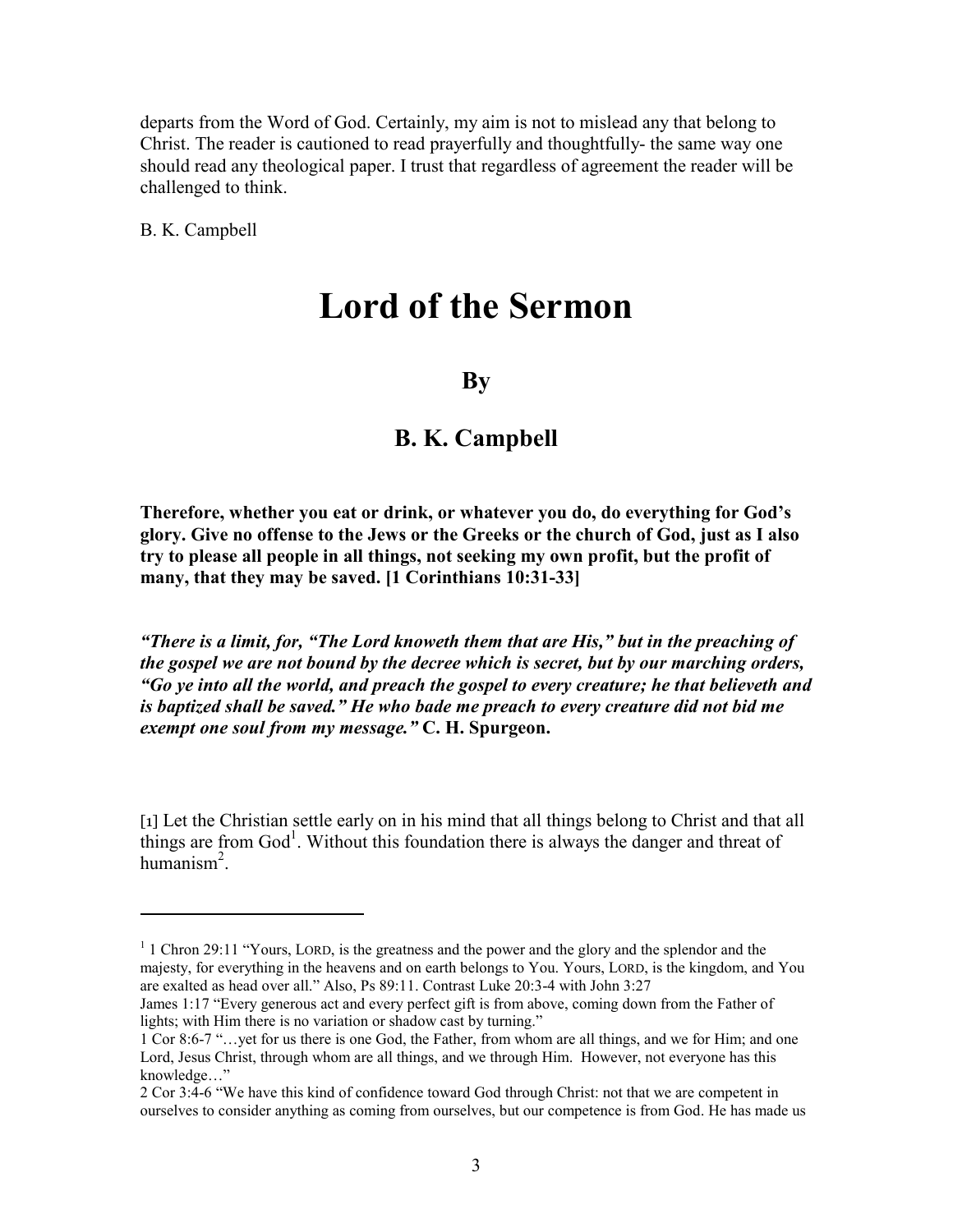departs from the Word of God. Certainly, my aim is not to mislead any that belong to Christ. The reader is cautioned to read prayerfully and thoughtfully- the same way one should read any theological paper. I trust that regardless of agreement the reader will be challenged to think.

B. K. Campbell

 $\overline{a}$ 

# Lord of the Sermon

By

#### B. K. Campbell

Therefore, whether you eat or drink, or whatever you do, do everything for God's glory. Give no offense to the Jews or the Greeks or the church of God, just as I also try to please all people in all things, not seeking my own profit, but the profit of many, that they may be saved. [1 Corinthians 10:31-33]

"There is a limit, for, "The Lord knoweth them that are His," but in the preaching of the gospel we are not bound by the decree which is secret, but by our marching orders, "Go ye into all the world, and preach the gospel to every creature; he that believeth and is baptized shall be saved." He who bade me preach to every creature did not bid me exempt one soul from my message." C. H. Spurgeon.

[1] Let the Christian settle early on in his mind that all things belong to Christ and that all things are from God<sup>1</sup>. Without this foundation there is always the danger and threat of humanism<sup>2</sup>.

<sup>&</sup>lt;sup>1</sup> 1 Chron 29:11 "Yours, LORD, is the greatness and the power and the glory and the splendor and the majesty, for everything in the heavens and on earth belongs to You. Yours, LORD, is the kingdom, and You are exalted as head over all." Also, Ps 89:11. Contrast Luke 20:3-4 with John 3:27

James 1:17 "Every generous act and every perfect gift is from above, coming down from the Father of lights; with Him there is no variation or shadow cast by turning."

<sup>1</sup> Cor 8:6-7 "…yet for us there is one God, the Father, from whom are all things, and we for Him; and one Lord, Jesus Christ, through whom are all things, and we through Him. However, not everyone has this knowledge…"

<sup>2</sup> Cor 3:4-6 "We have this kind of confidence toward God through Christ: not that we are competent in ourselves to consider anything as coming from ourselves, but our competence is from God. He has made us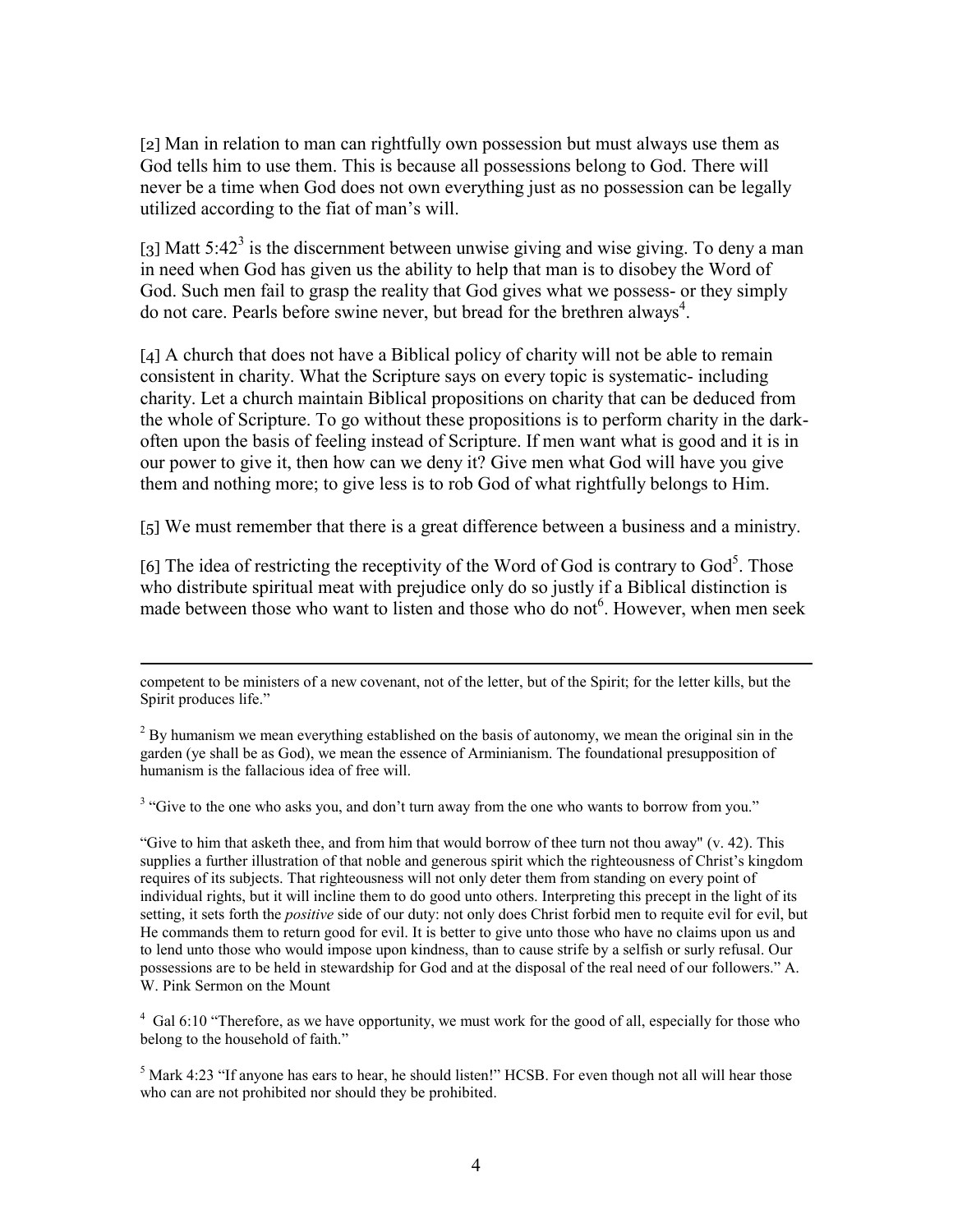[2] Man in relation to man can rightfully own possession but must always use them as God tells him to use them. This is because all possessions belong to God. There will never be a time when God does not own everything just as no possession can be legally utilized according to the fiat of man's will.

[3] Matt  $5:42<sup>3</sup>$  is the discernment between unwise giving and wise giving. To deny a man in need when God has given us the ability to help that man is to disobey the Word of God. Such men fail to grasp the reality that God gives what we possess- or they simply do not care. Pearls before swine never, but bread for the brethren always<sup>4</sup>.

[4] A church that does not have a Biblical policy of charity will not be able to remain consistent in charity. What the Scripture says on every topic is systematic- including charity. Let a church maintain Biblical propositions on charity that can be deduced from the whole of Scripture. To go without these propositions is to perform charity in the darkoften upon the basis of feeling instead of Scripture. If men want what is good and it is in our power to give it, then how can we deny it? Give men what God will have you give them and nothing more; to give less is to rob God of what rightfully belongs to Him.

[5] We must remember that there is a great difference between a business and a ministry.

[6] The idea of restricting the receptivity of the Word of God is contrary to  $God^5$ . Those who distribute spiritual meat with prejudice only do so justly if a Biblical distinction is made between those who want to listen and those who do not<sup>6</sup>. However, when men seek

 $\overline{a}$ 

<sup>3</sup> "Give to the one who asks you, and don't turn away from the one who wants to borrow from you."

"Give to him that asketh thee, and from him that would borrow of thee turn not thou away"  $(v, 42)$ . This supplies a further illustration of that noble and generous spirit which the righteousness of Christ's kingdom requires of its subjects. That righteousness will not only deter them from standing on every point of individual rights, but it will incline them to do good unto others. Interpreting this precept in the light of its setting, it sets forth the *positive* side of our duty: not only does Christ forbid men to requite evil for evil, but He commands them to return good for evil. It is better to give unto those who have no claims upon us and to lend unto those who would impose upon kindness, than to cause strife by a selfish or surly refusal. Our possessions are to be held in stewardship for God and at the disposal of the real need of our followers." A. W. Pink Sermon on the Mount

<sup>4</sup> Gal 6:10 "Therefore, as we have opportunity, we must work for the good of all, especially for those who belong to the household of faith."

 $<sup>5</sup>$  Mark 4:23 "If anyone has ears to hear, he should listen!" HCSB. For even though not all will hear those</sup> who can are not prohibited nor should they be prohibited.

competent to be ministers of a new covenant, not of the letter, but of the Spirit; for the letter kills, but the Spirit produces life."

 $2^{2}$  By humanism we mean everything established on the basis of autonomy, we mean the original sin in the garden (ye shall be as God), we mean the essence of Arminianism. The foundational presupposition of humanism is the fallacious idea of free will.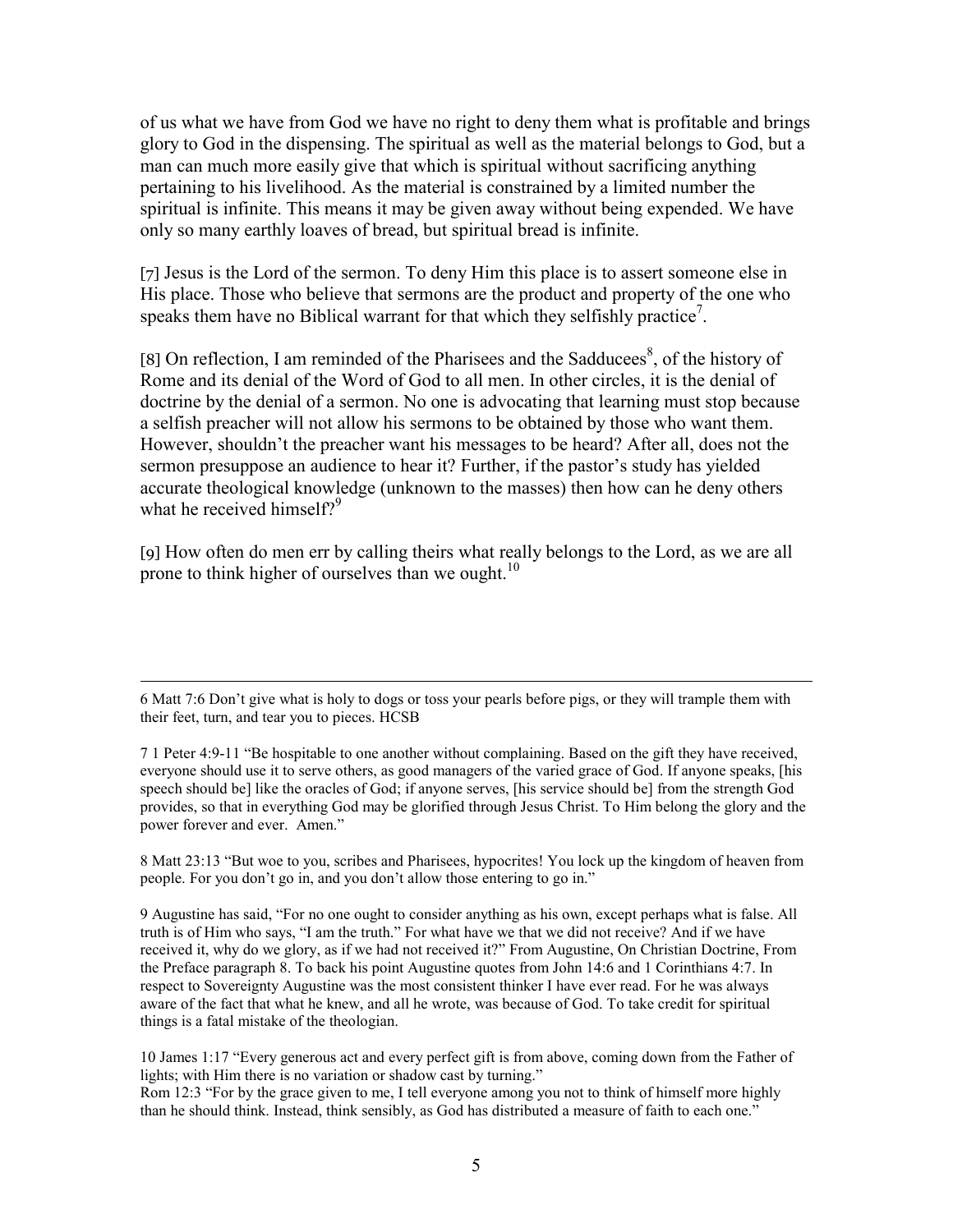of us what we have from God we have no right to deny them what is profitable and brings glory to God in the dispensing. The spiritual as well as the material belongs to God, but a man can much more easily give that which is spiritual without sacrificing anything pertaining to his livelihood. As the material is constrained by a limited number the spiritual is infinite. This means it may be given away without being expended. We have only so many earthly loaves of bread, but spiritual bread is infinite.

[7] Jesus is the Lord of the sermon. To deny Him this place is to assert someone else in His place. Those who believe that sermons are the product and property of the one who speaks them have no Biblical warrant for that which they selfishly practice<sup>7</sup>.

[8] On reflection, I am reminded of the Pharisees and the Sadducees $\delta$ , of the history of Rome and its denial of the Word of God to all men. In other circles, it is the denial of doctrine by the denial of a sermon. No one is advocating that learning must stop because a selfish preacher will not allow his sermons to be obtained by those who want them. However, shouldn't the preacher want his messages to be heard? After all, does not the sermon presuppose an audience to hear it? Further, if the pastor's study has yielded accurate theological knowledge (unknown to the masses) then how can he deny others what he received himself?<sup>9</sup>

[9] How often do men err by calling theirs what really belongs to the Lord, as we are all prone to think higher of ourselves than we ought.<sup>10</sup>

 $\overline{a}$ 6 Matt 7:6 Don't give what is holy to dogs or toss your pearls before pigs, or they will trample them with their feet, turn, and tear you to pieces. HCSB

7 1 Peter 4:9-11 "Be hospitable to one another without complaining. Based on the gift they have received, everyone should use it to serve others, as good managers of the varied grace of God. If anyone speaks, [his speech should be] like the oracles of God; if anyone serves, [his service should be] from the strength God provides, so that in everything God may be glorified through Jesus Christ. To Him belong the glory and the power forever and ever. Amen."

8 Matt 23:13 "But woe to you, scribes and Pharisees, hypocrites! You lock up the kingdom of heaven from people. For you don't go in, and you don't allow those entering to go in."

9 Augustine has said, "For no one ought to consider anything as his own, except perhaps what is false. All truth is of Him who says, "I am the truth." For what have we that we did not receive? And if we have received it, why do we glory, as if we had not received it?" From Augustine, On Christian Doctrine, From the Preface paragraph 8. To back his point Augustine quotes from John 14:6 and 1 Corinthians 4:7. In respect to Sovereignty Augustine was the most consistent thinker I have ever read. For he was always aware of the fact that what he knew, and all he wrote, was because of God. To take credit for spiritual things is a fatal mistake of the theologian.

10 James 1:17 "Every generous act and every perfect gift is from above, coming down from the Father of lights; with Him there is no variation or shadow cast by turning."

Rom 12:3 "For by the grace given to me, I tell everyone among you not to think of himself more highly than he should think. Instead, think sensibly, as God has distributed a measure of faith to each one."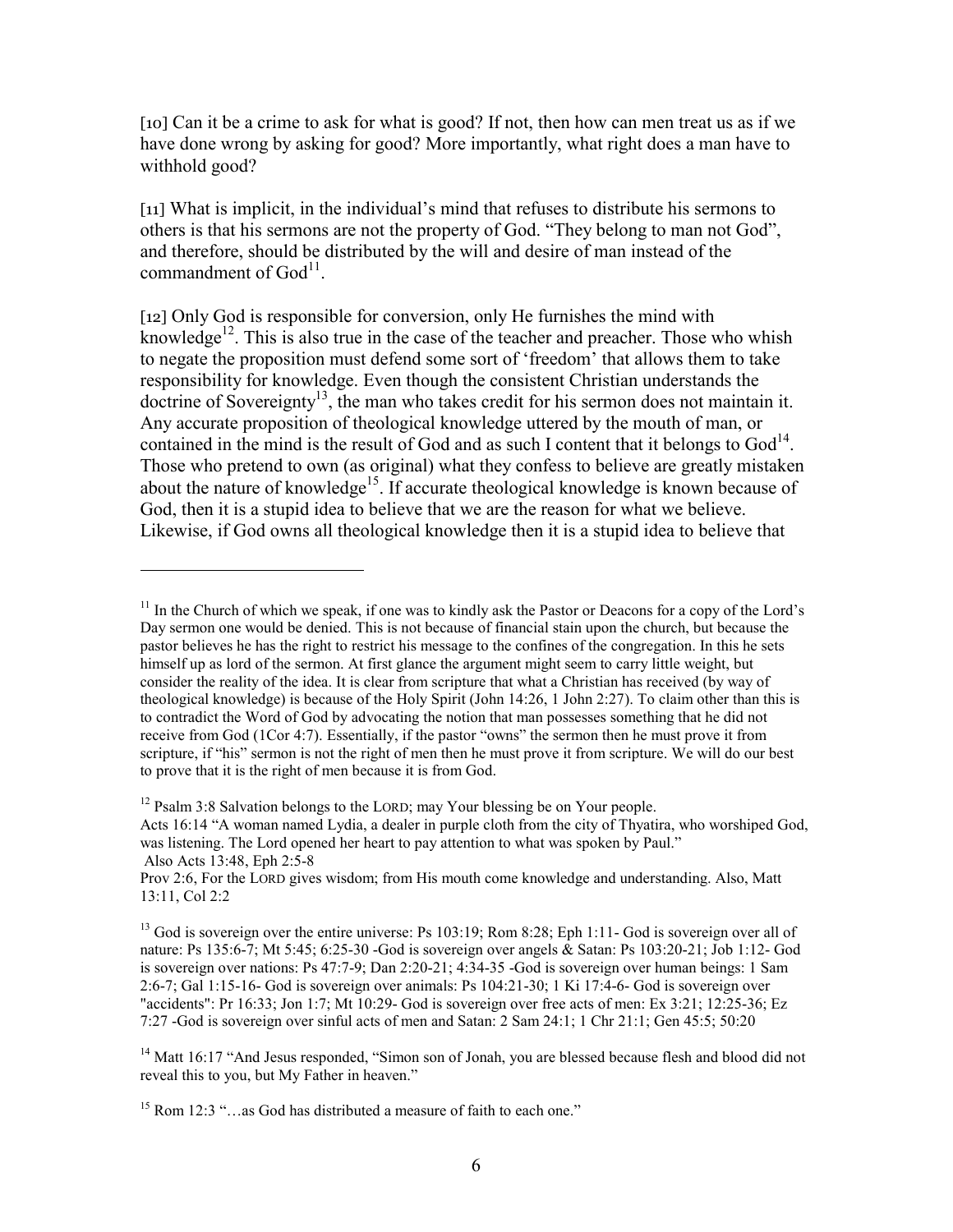[10] Can it be a crime to ask for what is good? If not, then how can men treat us as if we have done wrong by asking for good? More importantly, what right does a man have to withhold good?

[11] What is implicit, in the individual's mind that refuses to distribute his sermons to others is that his sermons are not the property of God. "They belong to man not God", and therefore, should be distributed by the will and desire of man instead of the commandment of God<sup>11</sup>.

[12] Only God is responsible for conversion, only He furnishes the mind with knowledge<sup>12</sup>. This is also true in the case of the teacher and preacher. Those who whish to negate the proposition must defend some sort of 'freedom' that allows them to take responsibility for knowledge. Even though the consistent Christian understands the doctrine of Sovereignty<sup>13</sup>, the man who takes credit for his sermon does not maintain it. Any accurate proposition of theological knowledge uttered by the mouth of man, or contained in the mind is the result of God and as such I content that it belongs to  $God<sup>14</sup>$ . Those who pretend to own (as original) what they confess to believe are greatly mistaken about the nature of knowledge<sup>15</sup>. If accurate theological knowledge is known because of God, then it is a stupid idea to believe that we are the reason for what we believe. Likewise, if God owns all theological knowledge then it is a stupid idea to believe that

 $11$  In the Church of which we speak, if one was to kindly ask the Pastor or Deacons for a copy of the Lord's Day sermon one would be denied. This is not because of financial stain upon the church, but because the pastor believes he has the right to restrict his message to the confines of the congregation. In this he sets himself up as lord of the sermon. At first glance the argument might seem to carry little weight, but consider the reality of the idea. It is clear from scripture that what a Christian has received (by way of theological knowledge) is because of the Holy Spirit (John 14:26, 1 John 2:27). To claim other than this is to contradict the Word of God by advocating the notion that man possesses something that he did not receive from God (1Cor 4:7). Essentially, if the pastor "owns" the sermon then he must prove it from scripture, if "his" sermon is not the right of men then he must prove it from scripture. We will do our best to prove that it is the right of men because it is from God.

<sup>&</sup>lt;sup>12</sup> Psalm 3:8 Salvation belongs to the LORD; may Your blessing be on Your people.

Acts 16:14 "A woman named Lydia, a dealer in purple cloth from the city of Thyatira, who worshiped God, was listening. The Lord opened her heart to pay attention to what was spoken by Paul." Also Acts 13:48, Eph 2:5-8

Prov 2:6, For the LORD gives wisdom; from His mouth come knowledge and understanding. Also, Matt 13:11, Col 2:2

<sup>&</sup>lt;sup>13</sup> God is sovereign over the entire universe: Ps 103:19; Rom 8:28; Eph 1:11- God is sovereign over all of nature: Ps 135:6-7; Mt 5:45; 6:25-30 -God is sovereign over angels & Satan: Ps 103:20-21; Job 1:12- God is sovereign over nations: Ps 47:7-9; Dan 2:20-21; 4:34-35 -God is sovereign over human beings: 1 Sam 2:6-7; Gal 1:15-16- God is sovereign over animals: Ps 104:21-30; 1 Ki 17:4-6- God is sovereign over "accidents": Pr 16:33; Jon 1:7; Mt 10:29- God is sovereign over free acts of men: Ex 3:21; 12:25-36; Ez 7:27 -God is sovereign over sinful acts of men and Satan: 2 Sam 24:1; 1 Chr 21:1; Gen 45:5; 50:20

<sup>&</sup>lt;sup>14</sup> Matt 16:17 "And Jesus responded, "Simon son of Jonah, you are blessed because flesh and blood did not reveal this to you, but My Father in heaven."

<sup>&</sup>lt;sup>15</sup> Rom 12:3 "...as God has distributed a measure of faith to each one."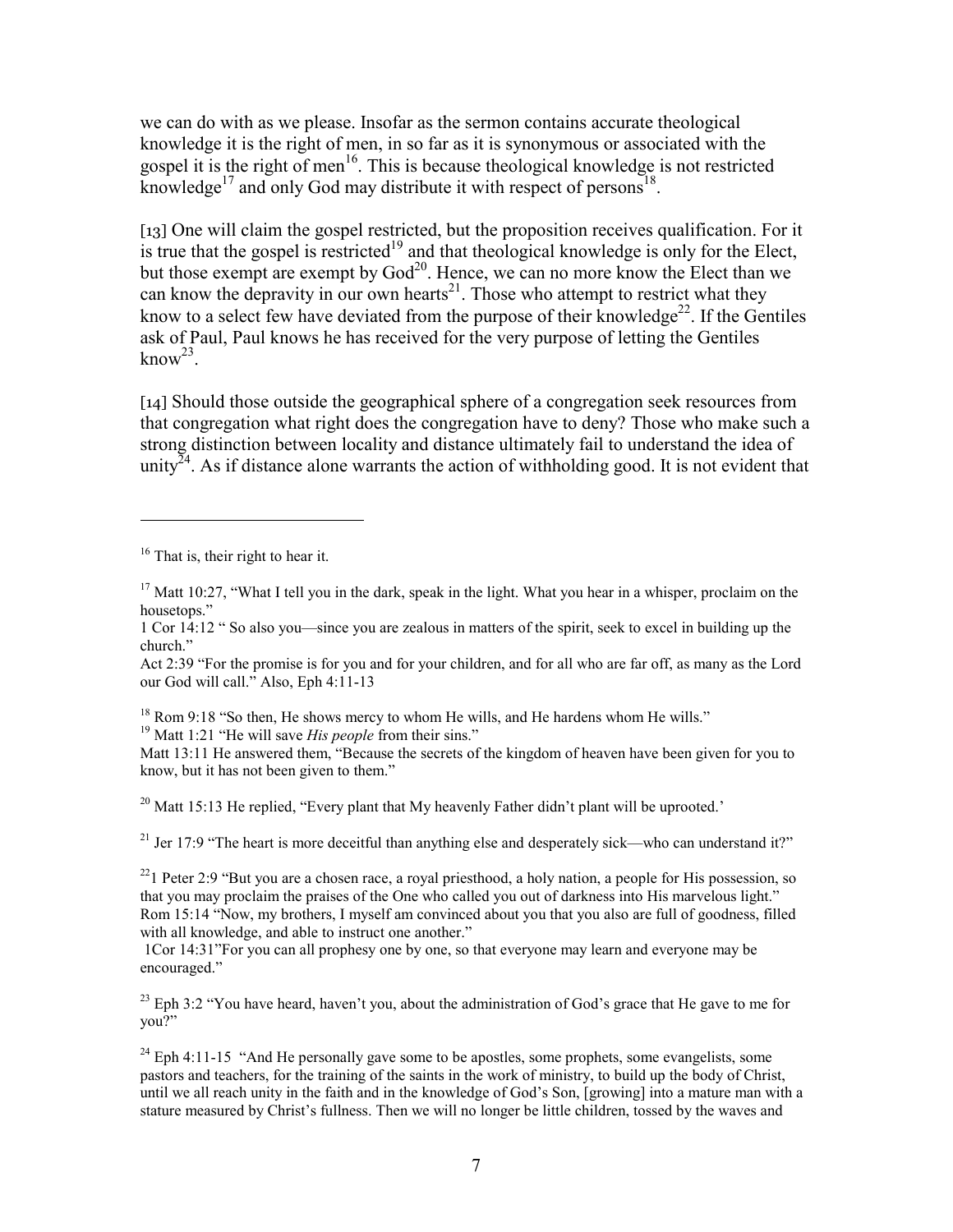we can do with as we please. Insofar as the sermon contains accurate theological knowledge it is the right of men, in so far as it is synonymous or associated with the gospel it is the right of men<sup>16</sup>. This is because theological knowledge is not restricted knowledge<sup>17</sup> and only God may distribute it with respect of persons<sup>18</sup>.

[13] One will claim the gospel restricted, but the proposition receives qualification. For it is true that the gospel is restricted<sup>19</sup> and that theological knowledge is only for the Elect, but those exempt are exempt by God<sup>20</sup>. Hence, we can no more know the Elect than we can know the depravity in our own hearts<sup>21</sup>. Those who attempt to restrict what they know to a select few have deviated from the purpose of their knowledge<sup>22</sup>. If the Gentiles ask of Paul, Paul knows he has received for the very purpose of letting the Gentiles  $know^{23}$ .

[14] Should those outside the geographical sphere of a congregation seek resources from that congregation what right does the congregation have to deny? Those who make such a strong distinction between locality and distance ultimately fail to understand the idea of unity<sup>24</sup>. As if distance alone warrants the action of withholding good. It is not evident that

 $\overline{a}$ 

Act 2:39 "For the promise is for you and for your children, and for all who are far off, as many as the Lord our God will call." Also, Eph 4:11-13

 $18$  Rom 9:18 "So then, He shows mercy to whom He wills, and He hardens whom He wills."

 $19$  Matt 1:21 "He will save His people from their sins."

Matt 13:11 He answered them, "Because the secrets of the kingdom of heaven have been given for you to know, but it has not been given to them."

<sup>20</sup> Matt 15:13 He replied, "Every plant that My heavenly Father didn't plant will be uprooted.'

<sup>21</sup> Jer 17:9 "The heart is more deceitful than anything else and desperately sick—who can understand it?"

<sup>22</sup>1 Peter 2:9 "But you are a chosen race, a royal priesthood, a holy nation, a people for His possession, so that you may proclaim the praises of the One who called you out of darkness into His marvelous light." Rom 15:14 "Now, my brothers, I myself am convinced about you that you also are full of goodness, filled with all knowledge, and able to instruct one another."

 1Cor 14:31"For you can all prophesy one by one, so that everyone may learn and everyone may be encouraged."

 $^{23}$  Eph 3:2 "You have heard, haven't you, about the administration of God's grace that He gave to me for you?"

 $^{24}$  Eph 4:11-15 "And He personally gave some to be apostles, some prophets, some evangelists, some pastors and teachers, for the training of the saints in the work of ministry, to build up the body of Christ, until we all reach unity in the faith and in the knowledge of God's Son, [growing] into a mature man with a stature measured by Christ's fullness. Then we will no longer be little children, tossed by the waves and

 $16$  That is, their right to hear it.

 $17$  Matt 10:27, "What I tell you in the dark, speak in the light. What you hear in a whisper, proclaim on the housetops."

<sup>1</sup> Cor 14:12 " So also you—since you are zealous in matters of the spirit, seek to excel in building up the church."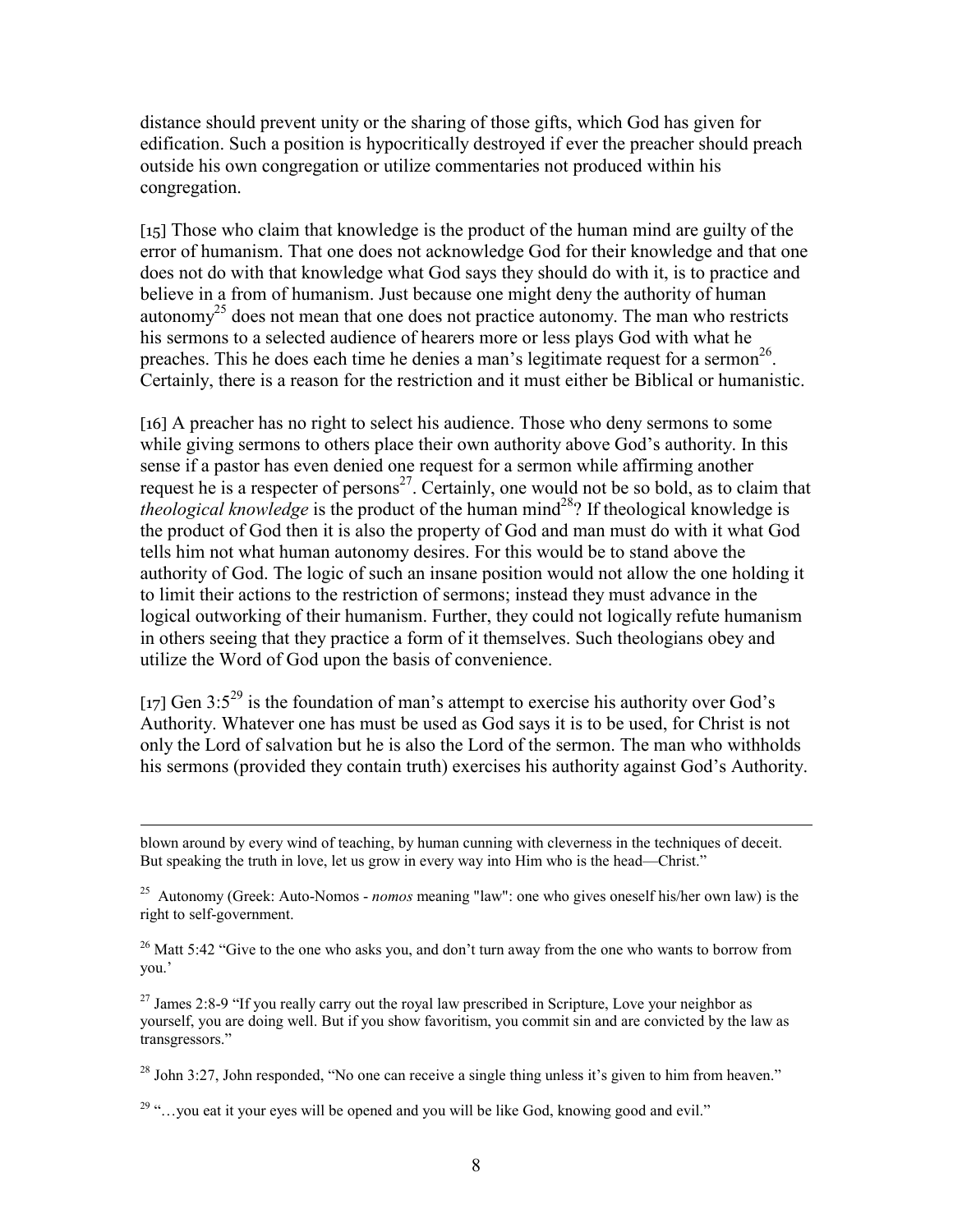distance should prevent unity or the sharing of those gifts, which God has given for edification. Such a position is hypocritically destroyed if ever the preacher should preach outside his own congregation or utilize commentaries not produced within his congregation.

[15] Those who claim that knowledge is the product of the human mind are guilty of the error of humanism. That one does not acknowledge God for their knowledge and that one does not do with that knowledge what God says they should do with it, is to practice and believe in a from of humanism. Just because one might deny the authority of human autonomy<sup>25</sup> does not mean that one does not practice autonomy. The man who restricts his sermons to a selected audience of hearers more or less plays God with what he preaches. This he does each time he denies a man's legitimate request for a sermon<sup>26</sup>. Certainly, there is a reason for the restriction and it must either be Biblical or humanistic.

[16] A preacher has no right to select his audience. Those who deny sermons to some while giving sermons to others place their own authority above God's authority. In this sense if a pastor has even denied one request for a sermon while affirming another request he is a respecter of persons $^{27}$ . Certainly, one would not be so bold, as to claim that theological knowledge is the product of the human mind<sup>28</sup>? If theological knowledge is the product of God then it is also the property of God and man must do with it what God tells him not what human autonomy desires. For this would be to stand above the authority of God. The logic of such an insane position would not allow the one holding it to limit their actions to the restriction of sermons; instead they must advance in the logical outworking of their humanism. Further, they could not logically refute humanism in others seeing that they practice a form of it themselves. Such theologians obey and utilize the Word of God upon the basis of convenience.

[17] Gen  $3:5^{29}$  is the foundation of man's attempt to exercise his authority over God's Authority. Whatever one has must be used as God says it is to be used, for Christ is not only the Lord of salvation but he is also the Lord of the sermon. The man who withholds his sermons (provided they contain truth) exercises his authority against God's Authority.

 $\overline{a}$ 

 $^{28}$  John 3:27, John responded, "No one can receive a single thing unless it's given to him from heaven."

 $29 \ldots$  you eat it your eyes will be opened and you will be like God, knowing good and evil."

blown around by every wind of teaching, by human cunning with cleverness in the techniques of deceit. But speaking the truth in love, let us grow in every way into Him who is the head—Christ."

<sup>&</sup>lt;sup>25</sup> Autonomy (Greek: Auto-Nomos - nomos meaning "law": one who gives oneself his/her own law) is the right to self-government.

<sup>&</sup>lt;sup>26</sup> Matt 5:42 "Give to the one who asks you, and don't turn away from the one who wants to borrow from you.'

 $27$  James 2:8-9 "If you really carry out the royal law prescribed in Scripture, Love your neighbor as yourself, you are doing well. But if you show favoritism, you commit sin and are convicted by the law as transgressors."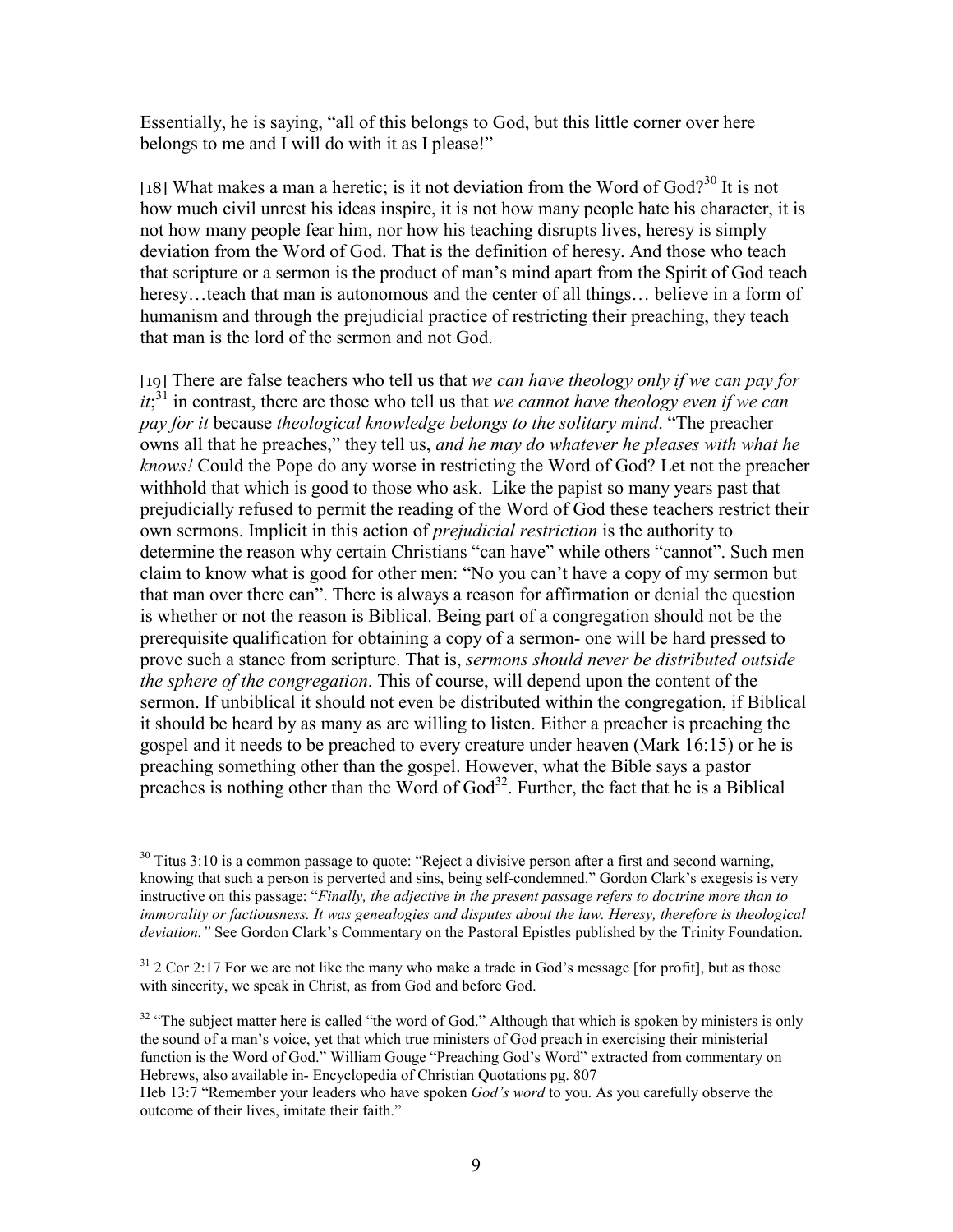Essentially, he is saying, "all of this belongs to God, but this little corner over here belongs to me and I will do with it as I please!"

[18] What makes a man a heretic; is it not deviation from the Word of  $God?^{30}$  It is not how much civil unrest his ideas inspire, it is not how many people hate his character, it is not how many people fear him, nor how his teaching disrupts lives, heresy is simply deviation from the Word of God. That is the definition of heresy. And those who teach that scripture or a sermon is the product of man's mind apart from the Spirit of God teach heresy...teach that man is autonomous and the center of all things... believe in a form of humanism and through the prejudicial practice of restricting their preaching, they teach that man is the lord of the sermon and not God.

[19] There are false teachers who tell us that we can have theology only if we can pay for  $it$ ;<sup>31</sup> in contrast, there are those who tell us that we cannot have theology even if we can pay for it because theological knowledge belongs to the solitary mind. "The preacher owns all that he preaches," they tell us, and he may do whatever he pleases with what he knows! Could the Pope do any worse in restricting the Word of God? Let not the preacher withhold that which is good to those who ask. Like the papist so many years past that prejudicially refused to permit the reading of the Word of God these teachers restrict their own sermons. Implicit in this action of prejudicial restriction is the authority to determine the reason why certain Christians "can have" while others "cannot". Such men claim to know what is good for other men: "No you can't have a copy of my sermon but that man over there can". There is always a reason for affirmation or denial the question is whether or not the reason is Biblical. Being part of a congregation should not be the prerequisite qualification for obtaining a copy of a sermon- one will be hard pressed to prove such a stance from scripture. That is, sermons should never be distributed outside the sphere of the congregation. This of course, will depend upon the content of the sermon. If unbiblical it should not even be distributed within the congregation, if Biblical it should be heard by as many as are willing to listen. Either a preacher is preaching the gospel and it needs to be preached to every creature under heaven (Mark 16:15) or he is preaching something other than the gospel. However, what the Bible says a pastor preaches is nothing other than the Word of  $God^{32}$ . Further, the fact that he is a Biblical

 $30$  Titus 3:10 is a common passage to quote: "Reject a divisive person after a first and second warning, knowing that such a person is perverted and sins, being self-condemned." Gordon Clark's exegesis is very instructive on this passage: "Finally, the adjective in the present passage refers to doctrine more than to immorality or factiousness. It was genealogies and disputes about the law. Heresy, therefore is theological deviation." See Gordon Clark's Commentary on the Pastoral Epistles published by the Trinity Foundation.

 $31$  2 Cor 2:17 For we are not like the many who make a trade in God's message [for profit], but as those with sincerity, we speak in Christ, as from God and before God.

 $32$  "The subject matter here is called "the word of God." Although that which is spoken by ministers is only the sound of a man's voice, yet that which true ministers of God preach in exercising their ministerial function is the Word of God." William Gouge "Preaching God's Word" extracted from commentary on Hebrews, also available in- Encyclopedia of Christian Quotations pg. 807

Heb 13:7 "Remember your leaders who have spoken God's word to you. As you carefully observe the outcome of their lives, imitate their faith."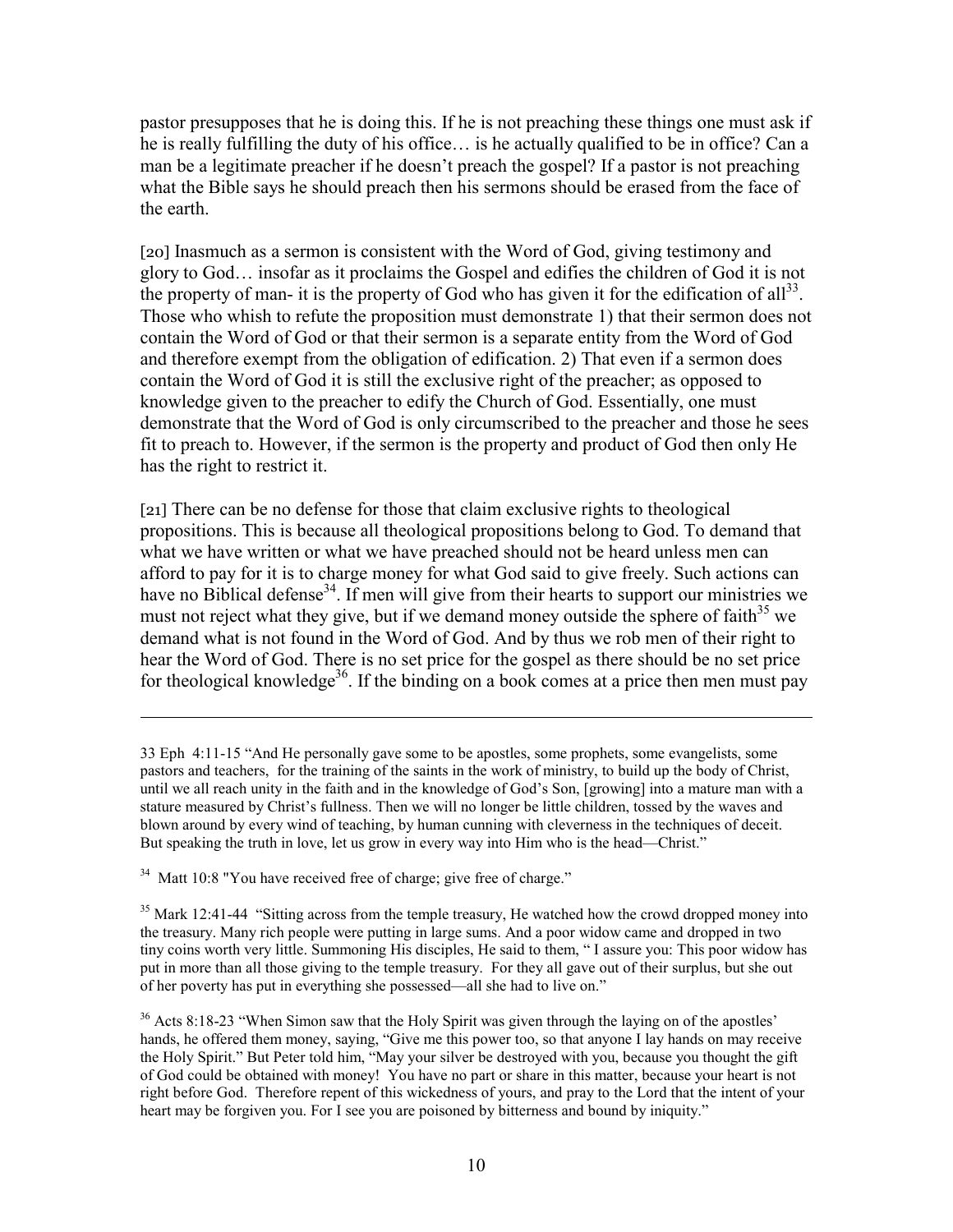pastor presupposes that he is doing this. If he is not preaching these things one must ask if he is really fulfilling the duty of his office… is he actually qualified to be in office? Can a man be a legitimate preacher if he doesn't preach the gospel? If a pastor is not preaching what the Bible says he should preach then his sermons should be erased from the face of the earth.

[20] Inasmuch as a sermon is consistent with the Word of God, giving testimony and glory to God… insofar as it proclaims the Gospel and edifies the children of God it is not the property of man- it is the property of God who has given it for the edification of all<sup>33</sup>. Those who whish to refute the proposition must demonstrate 1) that their sermon does not contain the Word of God or that their sermon is a separate entity from the Word of God and therefore exempt from the obligation of edification. 2) That even if a sermon does contain the Word of God it is still the exclusive right of the preacher; as opposed to knowledge given to the preacher to edify the Church of God. Essentially, one must demonstrate that the Word of God is only circumscribed to the preacher and those he sees fit to preach to. However, if the sermon is the property and product of God then only He has the right to restrict it.

[21] There can be no defense for those that claim exclusive rights to theological propositions. This is because all theological propositions belong to God. To demand that what we have written or what we have preached should not be heard unless men can afford to pay for it is to charge money for what God said to give freely. Such actions can have no Biblical defense<sup>34</sup>. If men will give from their hearts to support our ministries we must not reject what they give, but if we demand money outside the sphere of faith  $35$  we demand what is not found in the Word of God. And by thus we rob men of their right to hear the Word of God. There is no set price for the gospel as there should be no set price for theological knowledge<sup>36</sup>. If the binding on a book comes at a price then men must pay

<sup>34</sup> Matt 10:8 "You have received free of charge; give free of charge."

 $\overline{a}$ 

 $35$  Mark 12:41-44 "Sitting across from the temple treasury, He watched how the crowd dropped money into the treasury. Many rich people were putting in large sums. And a poor widow came and dropped in two tiny coins worth very little. Summoning His disciples, He said to them, " I assure you: This poor widow has put in more than all those giving to the temple treasury. For they all gave out of their surplus, but she out of her poverty has put in everything she possessed—all she had to live on."

 $36$  Acts 8:18-23 "When Simon saw that the Holy Spirit was given through the laying on of the apostles' hands, he offered them money, saying, "Give me this power too, so that anyone I lay hands on may receive the Holy Spirit." But Peter told him, "May your silver be destroyed with you, because you thought the gift of God could be obtained with money! You have no part or share in this matter, because your heart is not right before God. Therefore repent of this wickedness of yours, and pray to the Lord that the intent of your heart may be forgiven you. For I see you are poisoned by bitterness and bound by iniquity."

<sup>33</sup> Eph 4:11-15 "And He personally gave some to be apostles, some prophets, some evangelists, some pastors and teachers, for the training of the saints in the work of ministry, to build up the body of Christ, until we all reach unity in the faith and in the knowledge of God's Son, [growing] into a mature man with a stature measured by Christ's fullness. Then we will no longer be little children, tossed by the waves and blown around by every wind of teaching, by human cunning with cleverness in the techniques of deceit. But speaking the truth in love, let us grow in every way into Him who is the head—Christ."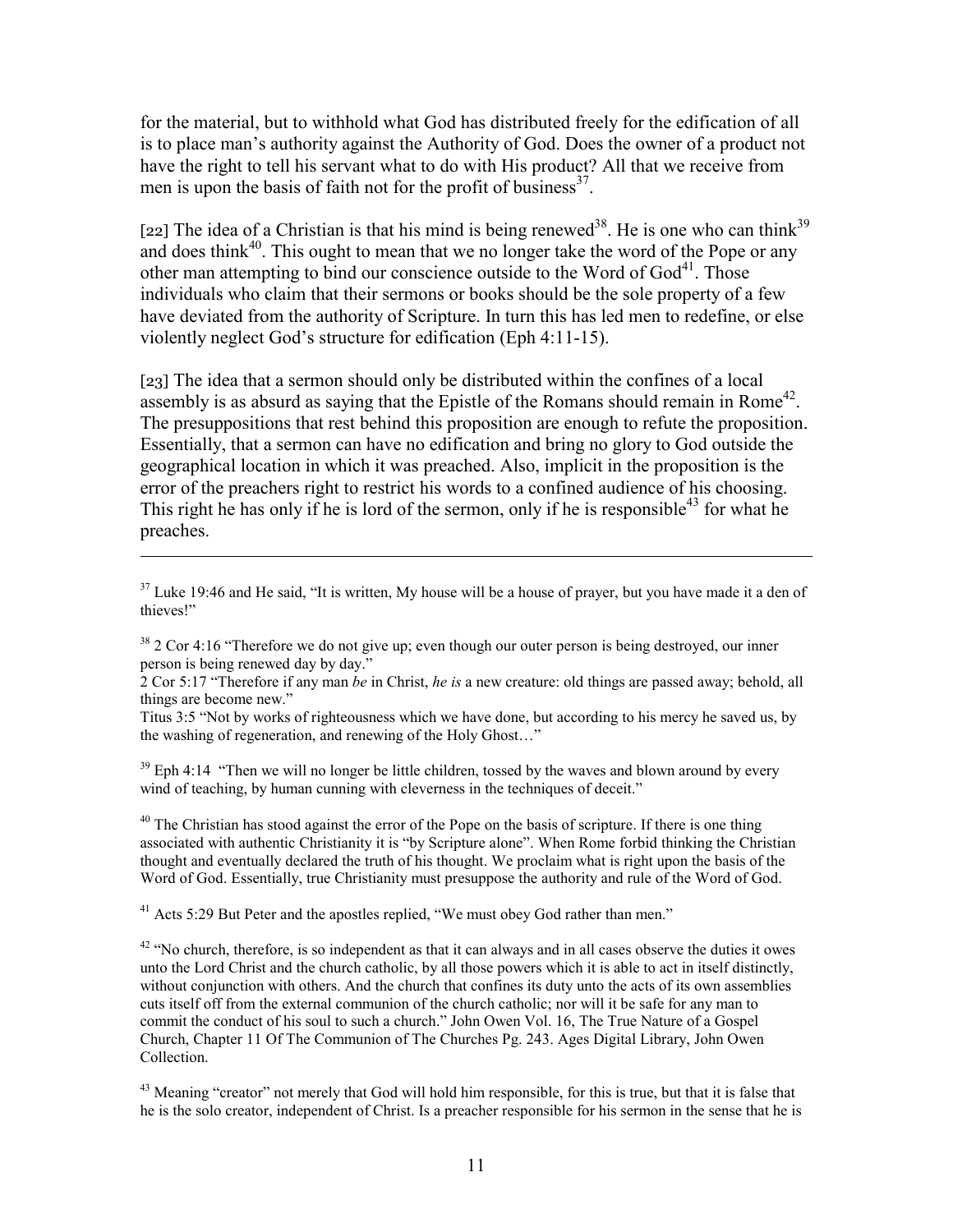for the material, but to withhold what God has distributed freely for the edification of all is to place man's authority against the Authority of God. Does the owner of a product not have the right to tell his servant what to do with His product? All that we receive from men is upon the basis of faith not for the profit of business $^{37}$ .

[22] The idea of a Christian is that his mind is being renewed<sup>38</sup>. He is one who can think<sup>39</sup> and does think<sup>40</sup>. This ought to mean that we no longer take the word of the Pope or any other man attempting to bind our conscience outside to the Word of  $God<sup>41</sup>$ . Those individuals who claim that their sermons or books should be the sole property of a few have deviated from the authority of Scripture. In turn this has led men to redefine, or else violently neglect God's structure for edification (Eph 4:11-15).

[23] The idea that a sermon should only be distributed within the confines of a local assembly is as absurd as saying that the Epistle of the Romans should remain in Rome<sup>42</sup>. The presuppositions that rest behind this proposition are enough to refute the proposition. Essentially, that a sermon can have no edification and bring no glory to God outside the geographical location in which it was preached. Also, implicit in the proposition is the error of the preachers right to restrict his words to a confined audience of his choosing. This right he has only if he is lord of the sermon, only if he is responsible<sup>43</sup> for what he preaches.

 $37$  Luke 19:46 and He said, "It is written, My house will be a house of prayer, but you have made it a den of thieves!"

 $38$  2 Cor 4:16 "Therefore we do not give up; even though our outer person is being destroyed, our inner person is being renewed day by day."

2 Cor 5:17 "Therefore if any man be in Christ, he is a new creature: old things are passed away; behold, all things are become new."

Titus 3:5 "Not by works of righteousness which we have done, but according to his mercy he saved us, by the washing of regeneration, and renewing of the Holy Ghost…"

 $39$  Eph 4:14 "Then we will no longer be little children, tossed by the waves and blown around by every wind of teaching, by human cunning with cleverness in the techniques of deceit."

 $40$  The Christian has stood against the error of the Pope on the basis of scripture. If there is one thing associated with authentic Christianity it is "by Scripture alone". When Rome forbid thinking the Christian thought and eventually declared the truth of his thought. We proclaim what is right upon the basis of the Word of God. Essentially, true Christianity must presuppose the authority and rule of the Word of God.

 $41$  Acts 5:29 But Peter and the apostles replied, "We must obey God rather than men."

 $\overline{a}$ 

 $42$  "No church, therefore, is so independent as that it can always and in all cases observe the duties it owes unto the Lord Christ and the church catholic, by all those powers which it is able to act in itself distinctly, without conjunction with others. And the church that confines its duty unto the acts of its own assemblies cuts itself off from the external communion of the church catholic; nor will it be safe for any man to commit the conduct of his soul to such a church." John Owen Vol. 16, The True Nature of a Gospel Church, Chapter 11 Of The Communion of The Churches Pg. 243. Ages Digital Library, John Owen Collection.

<sup>43</sup> Meaning "creator" not merely that God will hold him responsible, for this is true, but that it is false that he is the solo creator, independent of Christ. Is a preacher responsible for his sermon in the sense that he is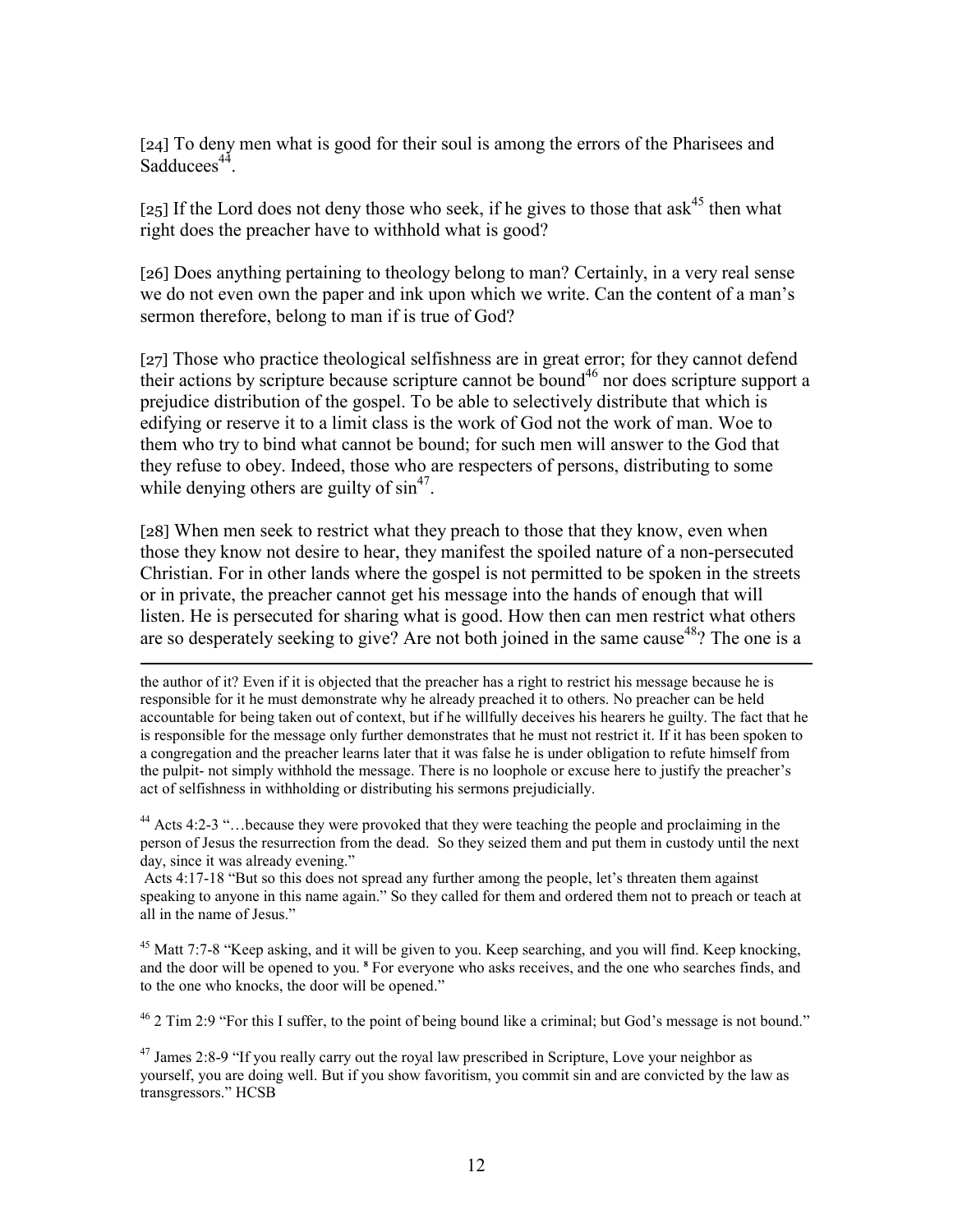[24] To deny men what is good for their soul is among the errors of the Pharisees and Sadducees<sup>44</sup>.

[25] If the Lord does not deny those who seek, if he gives to those that ask<sup>45</sup> then what right does the preacher have to withhold what is good?

[26] Does anything pertaining to theology belong to man? Certainly, in a very real sense we do not even own the paper and ink upon which we write. Can the content of a man's sermon therefore, belong to man if is true of God?

[27] Those who practice theological selfishness are in great error; for they cannot defend their actions by scripture because scripture cannot be bound<sup>46</sup> nor does scripture support a prejudice distribution of the gospel. To be able to selectively distribute that which is edifying or reserve it to a limit class is the work of God not the work of man. Woe to them who try to bind what cannot be bound; for such men will answer to the God that they refuse to obey. Indeed, those who are respecters of persons, distributing to some while denying others are guilty of  $\sin^{47}$ .

[28] When men seek to restrict what they preach to those that they know, even when those they know not desire to hear, they manifest the spoiled nature of a non-persecuted Christian. For in other lands where the gospel is not permitted to be spoken in the streets or in private, the preacher cannot get his message into the hands of enough that will listen. He is persecuted for sharing what is good. How then can men restrict what others are so desperately seeking to give? Are not both joined in the same cause<sup>48</sup>? The one is a

 $\overline{a}$ 

the author of it? Even if it is objected that the preacher has a right to restrict his message because he is responsible for it he must demonstrate why he already preached it to others. No preacher can be held accountable for being taken out of context, but if he willfully deceives his hearers he guilty. The fact that he is responsible for the message only further demonstrates that he must not restrict it. If it has been spoken to a congregation and the preacher learns later that it was false he is under obligation to refute himself from the pulpit- not simply withhold the message. There is no loophole or excuse here to justify the preacher's act of selfishness in withholding or distributing his sermons prejudicially.

<sup>44</sup> Acts 4:2-3 "…because they were provoked that they were teaching the people and proclaiming in the person of Jesus the resurrection from the dead. So they seized them and put them in custody until the next day, since it was already evening."

 Acts 4:17-18 "But so this does not spread any further among the people, let's threaten them against speaking to anyone in this name again." So they called for them and ordered them not to preach or teach at all in the name of Jesus."

 $45$  Matt 7:7-8 "Keep asking, and it will be given to you. Keep searching, and you will find. Keep knocking, and the door will be opened to you. <sup>8</sup> For everyone who asks receives, and the one who searches finds, and to the one who knocks, the door will be opened."

 $46$  2 Tim 2:9 "For this I suffer, to the point of being bound like a criminal; but God's message is not bound."

 $47$  James 2:8-9 "If you really carry out the royal law prescribed in Scripture, Love your neighbor as yourself, you are doing well. But if you show favoritism, you commit sin and are convicted by the law as transgressors." HCSB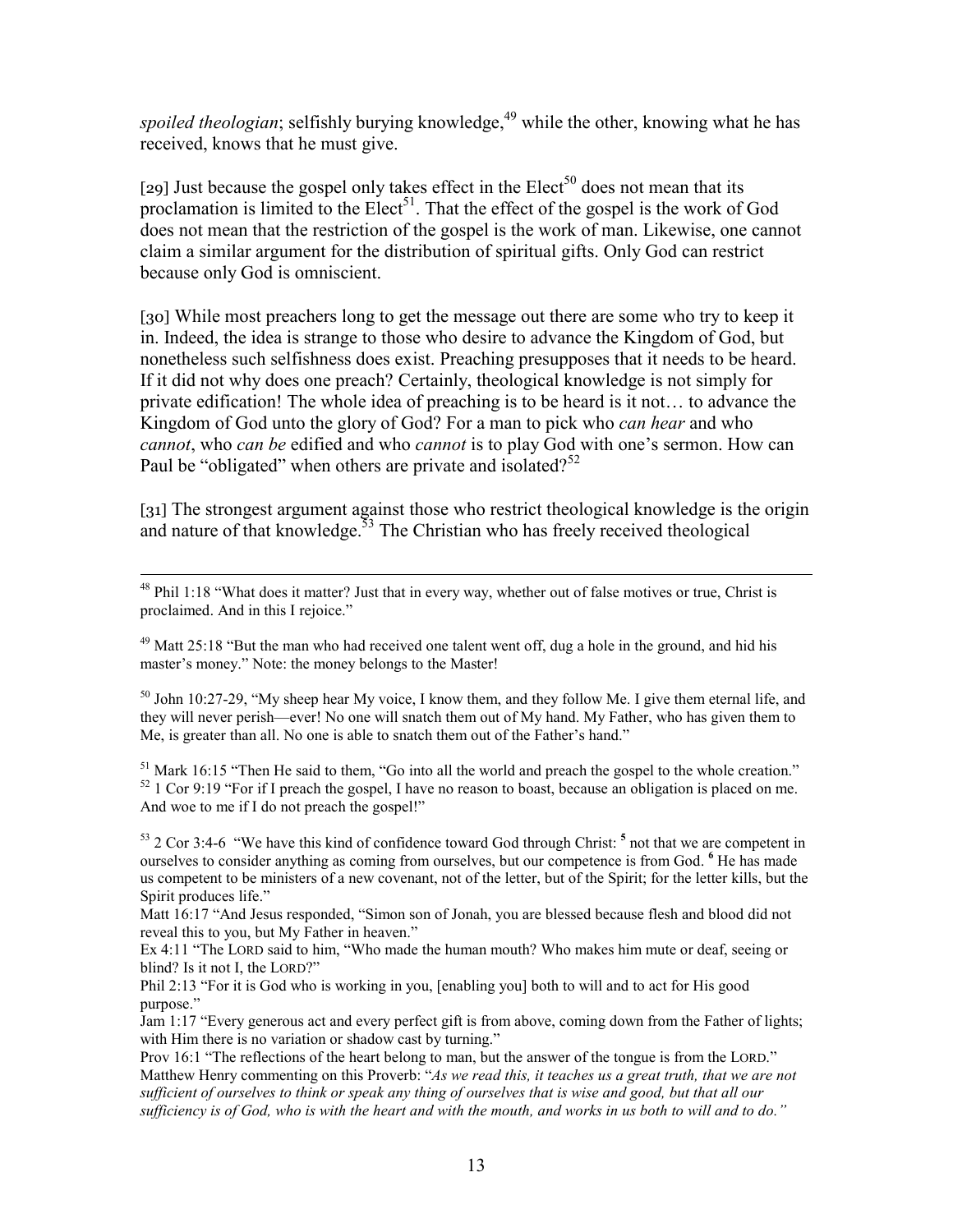spoiled theologian; selfishly burying knowledge,  $49$  while the other, knowing what he has received, knows that he must give.

[29] Just because the gospel only takes effect in the Elect<sup>50</sup> does not mean that its proclamation is limited to the  $Elect^{51}$ . That the effect of the gospel is the work of God does not mean that the restriction of the gospel is the work of man. Likewise, one cannot claim a similar argument for the distribution of spiritual gifts. Only God can restrict because only God is omniscient.

[30] While most preachers long to get the message out there are some who try to keep it in. Indeed, the idea is strange to those who desire to advance the Kingdom of God, but nonetheless such selfishness does exist. Preaching presupposes that it needs to be heard. If it did not why does one preach? Certainly, theological knowledge is not simply for private edification! The whole idea of preaching is to be heard is it not… to advance the Kingdom of God unto the glory of God? For a man to pick who *can hear* and who cannot, who can be edified and who cannot is to play God with one's sermon. How can Paul be "obligated" when others are private and isolated? $52$ 

[31] The strongest argument against those who restrict theological knowledge is the origin and nature of that knowledge. $53$  The Christian who has freely received theological

 $\overline{a}$ <sup>48</sup> Phil 1:18 "What does it matter? Just that in every way, whether out of false motives or true, Christ is proclaimed. And in this I rejoice."

 $^{49}$  Matt 25:18 "But the man who had received one talent went off, dug a hole in the ground, and hid his master's money." Note: the money belongs to the Master!

 $50$  John 10:27-29, "My sheep hear My voice, I know them, and they follow Me. I give them eternal life, and they will never perish—ever! No one will snatch them out of My hand. My Father, who has given them to Me, is greater than all. No one is able to snatch them out of the Father's hand."

 $<sup>51</sup>$  Mark 16:15 "Then He said to them, "Go into all the world and preach the gospel to the whole creation."</sup>  $52$  1 Cor 9:19 "For if I preach the gospel, I have no reason to boast, because an obligation is placed on me. And woe to me if I do not preach the gospel!"

 $53$  2 Cor 3:4-6 "We have this kind of confidence toward God through Christ:  $5$  not that we are competent in ourselves to consider anything as coming from ourselves, but our competence is from God. <sup>6</sup> He has made us competent to be ministers of a new covenant, not of the letter, but of the Spirit; for the letter kills, but the Spirit produces life."

Matt 16:17 "And Jesus responded, "Simon son of Jonah, you are blessed because flesh and blood did not reveal this to you, but My Father in heaven."

Ex 4:11 "The LORD said to him, "Who made the human mouth? Who makes him mute or deaf, seeing or blind? Is it not I, the LORD?"

Phil 2:13 "For it is God who is working in you, [enabling you] both to will and to act for His good purpose."

Jam 1:17 "Every generous act and every perfect gift is from above, coming down from the Father of lights; with Him there is no variation or shadow cast by turning."

Prov 16:1 "The reflections of the heart belong to man, but the answer of the tongue is from the LORD." Matthew Henry commenting on this Proverb: "As we read this, it teaches us a great truth, that we are not sufficient of ourselves to think or speak any thing of ourselves that is wise and good, but that all our sufficiency is of God, who is with the heart and with the mouth, and works in us both to will and to do."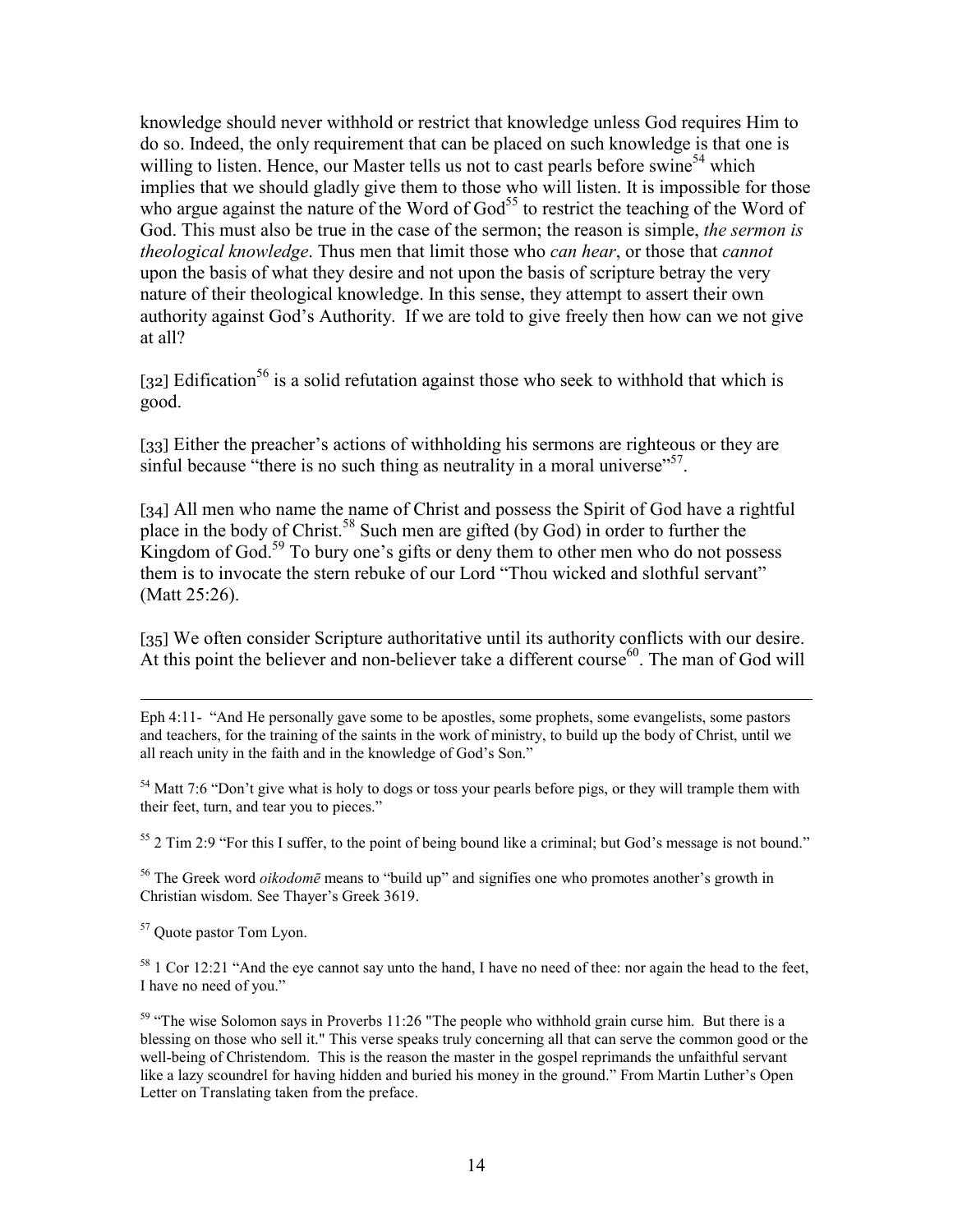knowledge should never withhold or restrict that knowledge unless God requires Him to do so. Indeed, the only requirement that can be placed on such knowledge is that one is willing to listen. Hence, our Master tells us not to cast pearls before swine<sup>54</sup> which implies that we should gladly give them to those who will listen. It is impossible for those who argue against the nature of the Word of  $God<sup>55</sup>$  to restrict the teaching of the Word of God. This must also be true in the case of the sermon; the reason is simple, the sermon is theological knowledge. Thus men that limit those who can hear, or those that cannot upon the basis of what they desire and not upon the basis of scripture betray the very nature of their theological knowledge. In this sense, they attempt to assert their own authority against God's Authority. If we are told to give freely then how can we not give at all?

[32] Edification<sup>56</sup> is a solid refutation against those who seek to withhold that which is good.

[33] Either the preacher's actions of withholding his sermons are righteous or they are sinful because "there is no such thing as neutrality in a moral universe"<sup>57</sup>.

[34] All men who name the name of Christ and possess the Spirit of God have a rightful place in the body of Christ.<sup>58</sup> Such men are gifted (by God) in order to further the Kingdom of God.<sup>59</sup> To bury one's gifts or deny them to other men who do not possess them is to invocate the stern rebuke of our Lord "Thou wicked and slothful servant" (Matt 25:26).

[35] We often consider Scripture authoritative until its authority conflicts with our desire. At this point the believer and non-believer take a different course  $60$ . The man of God will

Eph 4:11- "And He personally gave some to be apostles, some prophets, some evangelists, some pastors and teachers, for the training of the saints in the work of ministry, to build up the body of Christ, until we all reach unity in the faith and in the knowledge of God's Son."

<sup>54</sup> Matt 7:6 "Don't give what is holy to dogs or toss your pearls before pigs, or they will trample them with their feet, turn, and tear you to pieces."

<sup>55</sup> 2 Tim 2:9 "For this I suffer, to the point of being bound like a criminal; but God's message is not bound."

<sup>56</sup> The Greek word *oikodomē* means to "build up" and signifies one who promotes another's growth in Christian wisdom. See Thayer's Greek 3619.

<sup>57</sup> Quote pastor Tom Lyon.

 $\overline{a}$ 

<sup>58</sup> 1 Cor 12:21 "And the eye cannot say unto the hand, I have no need of thee: nor again the head to the feet, I have no need of you."

 $59$  "The wise Solomon says in Proverbs 11:26 "The people who withhold grain curse him. But there is a blessing on those who sell it." This verse speaks truly concerning all that can serve the common good or the well-being of Christendom. This is the reason the master in the gospel reprimands the unfaithful servant like a lazy scoundrel for having hidden and buried his money in the ground." From Martin Luther's Open Letter on Translating taken from the preface.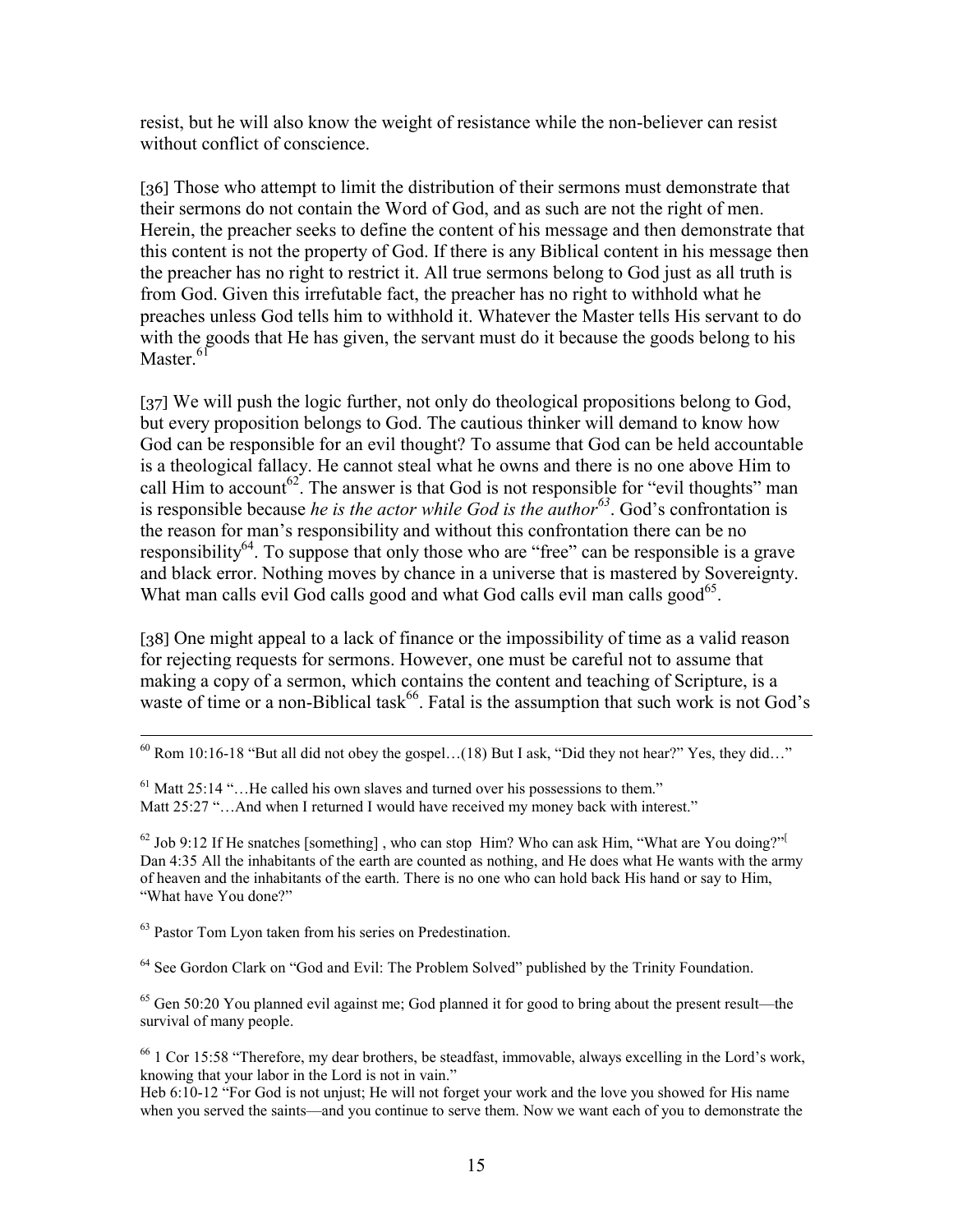resist, but he will also know the weight of resistance while the non-believer can resist without conflict of conscience.

[36] Those who attempt to limit the distribution of their sermons must demonstrate that their sermons do not contain the Word of God, and as such are not the right of men. Herein, the preacher seeks to define the content of his message and then demonstrate that this content is not the property of God. If there is any Biblical content in his message then the preacher has no right to restrict it. All true sermons belong to God just as all truth is from God. Given this irrefutable fact, the preacher has no right to withhold what he preaches unless God tells him to withhold it. Whatever the Master tells His servant to do with the goods that He has given, the servant must do it because the goods belong to his Master.<sup>61</sup>

[37] We will push the logic further, not only do theological propositions belong to God, but every proposition belongs to God. The cautious thinker will demand to know how God can be responsible for an evil thought? To assume that God can be held accountable is a theological fallacy. He cannot steal what he owns and there is no one above Him to call Him to account<sup>62</sup>. The answer is that God is not responsible for "evil thoughts" man is responsible because he is the actor while God is the author<sup>63</sup>. God's confrontation is the reason for man's responsibility and without this confrontation there can be no responsibility<sup>64</sup>. To suppose that only those who are "free" can be responsible is a grave and black error. Nothing moves by chance in a universe that is mastered by Sovereignty. What man calls evil God calls good and what God calls evil man calls good<sup>65</sup>.

[38] One might appeal to a lack of finance or the impossibility of time as a valid reason for rejecting requests for sermons. However, one must be careful not to assume that making a copy of a sermon, which contains the content and teaching of Scripture, is a waste of time or a non-Biblical task<sup>66</sup>. Fatal is the assumption that such work is not God's

 $^{60}$  Rom 10:16-18 "But all did not obey the gospel...(18) But I ask, "Did they not hear?" Yes, they did..."

<sup>61</sup> Matt 25:14 "…He called his own slaves and turned over his possessions to them." Matt 25:27 "...And when I returned I would have received my money back with interest."

 $62$  Job 9:12 If He snatches [something], who can stop Him? Who can ask Him, "What are You doing?"<sup>[1]</sup> Dan 4:35 All the inhabitants of the earth are counted as nothing, and He does what He wants with the army of heaven and the inhabitants of the earth. There is no one who can hold back His hand or say to Him, "What have You done?"

<sup>63</sup> Pastor Tom Lyon taken from his series on Predestination.

 $\overline{a}$ 

<sup>64</sup> See Gordon Clark on "God and Evil: The Problem Solved" published by the Trinity Foundation.

 $65$  Gen 50:20 You planned evil against me; God planned it for good to bring about the present result—the survival of many people.

<sup>66</sup> 1 Cor 15:58 "Therefore, my dear brothers, be steadfast, immovable, always excelling in the Lord's work, knowing that your labor in the Lord is not in vain."

Heb 6:10-12 "For God is not unjust; He will not forget your work and the love you showed for His name when you served the saints—and you continue to serve them. Now we want each of you to demonstrate the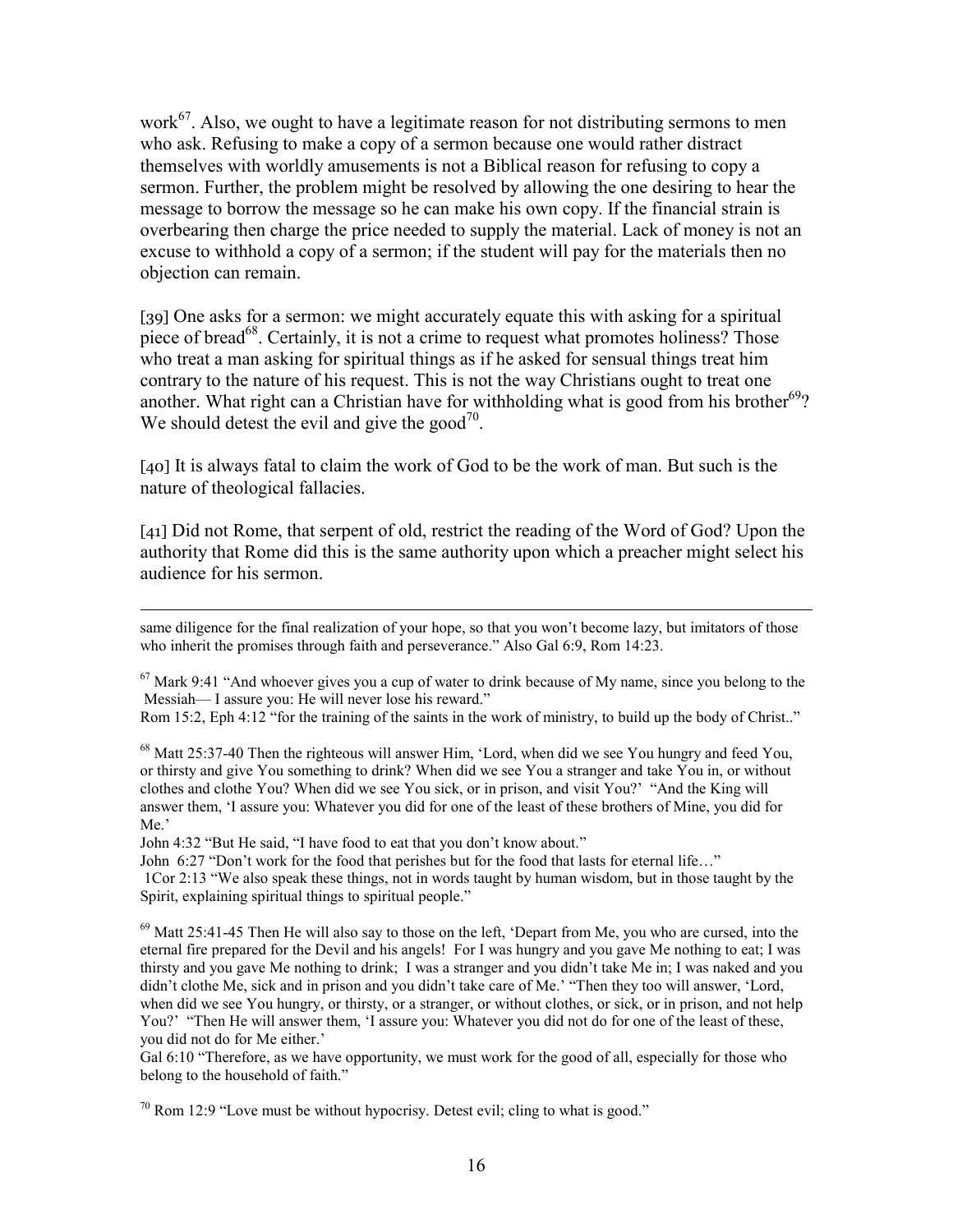work<sup>67</sup>. Also, we ought to have a legitimate reason for not distributing sermons to men who ask. Refusing to make a copy of a sermon because one would rather distract themselves with worldly amusements is not a Biblical reason for refusing to copy a sermon. Further, the problem might be resolved by allowing the one desiring to hear the message to borrow the message so he can make his own copy. If the financial strain is overbearing then charge the price needed to supply the material. Lack of money is not an excuse to withhold a copy of a sermon; if the student will pay for the materials then no objection can remain.

[39] One asks for a sermon: we might accurately equate this with asking for a spiritual piece of bread<sup>68</sup>. Certainly, it is not a crime to request what promotes holiness? Those who treat a man asking for spiritual things as if he asked for sensual things treat him contrary to the nature of his request. This is not the way Christians ought to treat one another. What right can a Christian have for withholding what is good from his brother $69$ ? We should detest the evil and give the good<sup>70</sup>.

[40] It is always fatal to claim the work of God to be the work of man. But such is the nature of theological fallacies.

[41] Did not Rome, that serpent of old, restrict the reading of the Word of God? Upon the authority that Rome did this is the same authority upon which a preacher might select his audience for his sermon.

same diligence for the final realization of your hope, so that you won't become lazy, but imitators of those who inherit the promises through faith and perseverance." Also Gal 6:9, Rom 14:23.

 $67$  Mark 9:41 "And whoever gives you a cup of water to drink because of My name, since you belong to the Messiah— I assure you: He will never lose his reward."

Rom 15:2, Eph 4:12 "for the training of the saints in the work of ministry, to build up the body of Christ.."

 $68$  Matt 25:37-40 Then the righteous will answer Him, 'Lord, when did we see You hungry and feed You, or thirsty and give You something to drink? When did we see You a stranger and take You in, or without clothes and clothe You? When did we see You sick, or in prison, and visit You?' "And the King will answer them, 'I assure you: Whatever you did for one of the least of these brothers of Mine, you did for Me.'

John 4:32 "But He said, "I have food to eat that you don't know about."

 $\overline{a}$ 

John 6:27 "Don't work for the food that perishes but for the food that lasts for eternal life…"

 1Cor 2:13 "We also speak these things, not in words taught by human wisdom, but in those taught by the Spirit, explaining spiritual things to spiritual people."

 $^{69}$  Matt 25:41-45 Then He will also say to those on the left, 'Depart from Me, you who are cursed, into the eternal fire prepared for the Devil and his angels! For I was hungry and you gave Me nothing to eat; I was thirsty and you gave Me nothing to drink; I was a stranger and you didn't take Me in; I was naked and you didn't clothe Me, sick and in prison and you didn't take care of Me.' "Then they too will answer, 'Lord, when did we see You hungry, or thirsty, or a stranger, or without clothes, or sick, or in prison, and not help You?' "Then He will answer them, 'I assure you: Whatever you did not do for one of the least of these, you did not do for Me either.'

Gal 6:10 "Therefore, as we have opportunity, we must work for the good of all, especially for those who belong to the household of faith."

 $70$  Rom 12:9 "Love must be without hypocrisy. Detest evil; cling to what is good."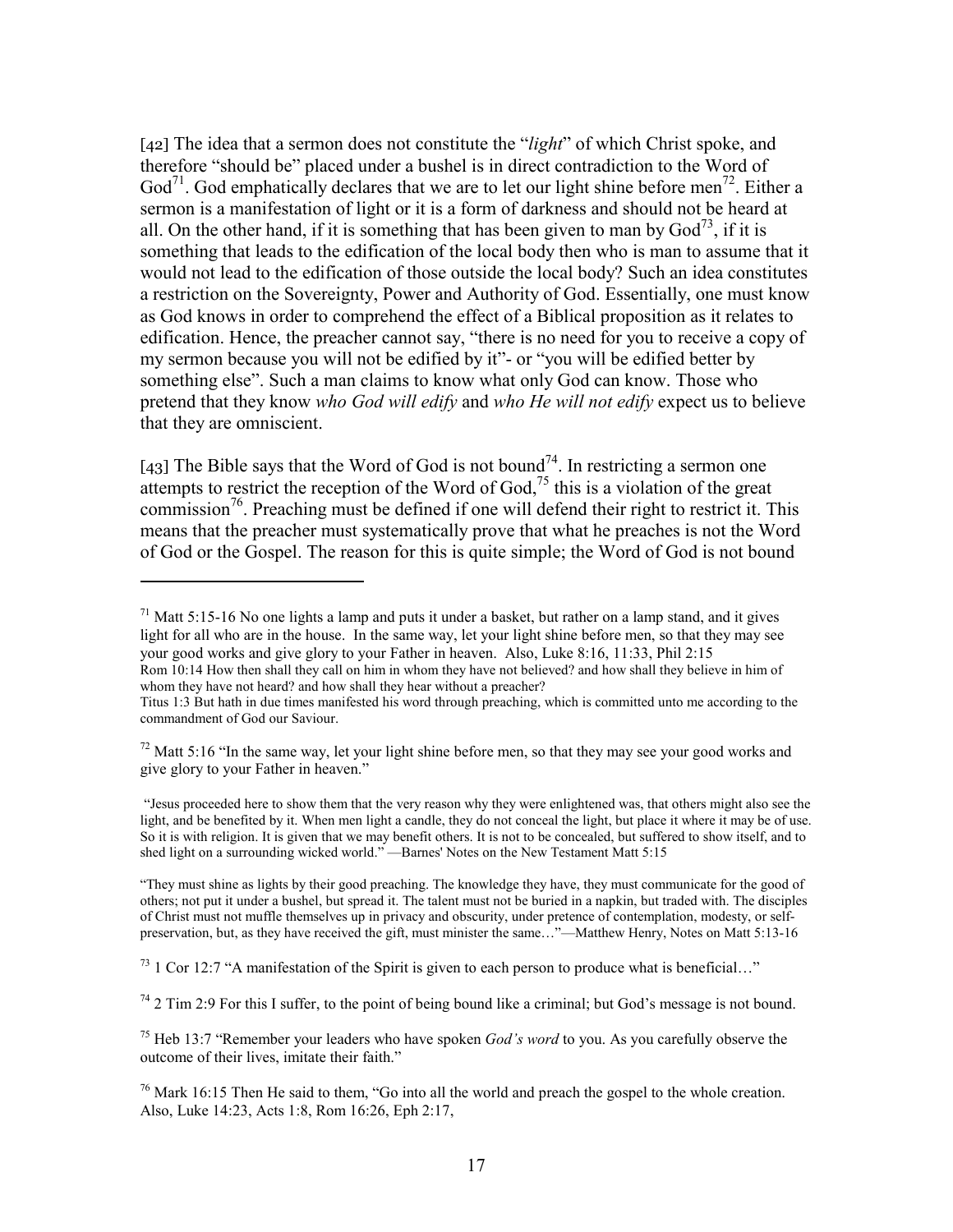[42] The idea that a sermon does not constitute the "*light*" of which Christ spoke, and therefore "should be" placed under a bushel is in direct contradiction to the Word of God<sup>71</sup>. God emphatically declares that we are to let our light shine before men<sup>72</sup>. Either a sermon is a manifestation of light or it is a form of darkness and should not be heard at all. On the other hand, if it is something that has been given to man by  $God^{73}$ , if it is something that leads to the edification of the local body then who is man to assume that it would not lead to the edification of those outside the local body? Such an idea constitutes a restriction on the Sovereignty, Power and Authority of God. Essentially, one must know as God knows in order to comprehend the effect of a Biblical proposition as it relates to edification. Hence, the preacher cannot say, "there is no need for you to receive a copy of my sermon because you will not be edified by it"- or "you will be edified better by something else". Such a man claims to know what only God can know. Those who pretend that they know who God will edify and who He will not edify expect us to believe that they are omniscient.

[43] The Bible says that the Word of God is not bound<sup>74</sup>. In restricting a sermon one attempts to restrict the reception of the Word of God,<sup>75</sup> this is a violation of the great commission<sup>76</sup>. Preaching must be defined if one will defend their right to restrict it. This means that the preacher must systematically prove that what he preaches is not the Word of God or the Gospel. The reason for this is quite simple; the Word of God is not bound

 $\overline{a}$ 

 $^{73}$  1 Cor 12:7 "A manifestation of the Spirit is given to each person to produce what is beneficial..."

 $74$  2 Tim 2:9 For this I suffer, to the point of being bound like a criminal; but God's message is not bound.

 $71$  Matt 5:15-16 No one lights a lamp and puts it under a basket, but rather on a lamp stand, and it gives light for all who are in the house. In the same way, let your light shine before men, so that they may see your good works and give glory to your Father in heaven. Also, Luke 8:16, 11:33, Phil 2:15 Rom 10:14 How then shall they call on him in whom they have not believed? and how shall they believe in him of whom they have not heard? and how shall they hear without a preacher?

Titus 1:3 But hath in due times manifested his word through preaching, which is committed unto me according to the commandment of God our Saviour.

 $72$  Matt 5:16 "In the same way, let your light shine before men, so that they may see your good works and give glory to your Father in heaven."

<sup>&</sup>quot;Jesus proceeded here to show them that the very reason why they were enlightened was, that others might also see the light, and be benefited by it. When men light a candle, they do not conceal the light, but place it where it may be of use. So it is with religion. It is given that we may benefit others. It is not to be concealed, but suffered to show itself, and to shed light on a surrounding wicked world." —Barnes' Notes on the New Testament Matt 5:15

<sup>&</sup>quot;They must shine as lights by their good preaching. The knowledge they have, they must communicate for the good of others; not put it under a bushel, but spread it. The talent must not be buried in a napkin, but traded with. The disciples of Christ must not muffle themselves up in privacy and obscurity, under pretence of contemplation, modesty, or selfpreservation, but, as they have received the gift, must minister the same…"—Matthew Henry, Notes on Matt 5:13-16

<sup>&</sup>lt;sup>75</sup> Heb 13:7 "Remember your leaders who have spoken *God's word* to you. As you carefully observe the outcome of their lives, imitate their faith."

 $76$  Mark 16:15 Then He said to them, "Go into all the world and preach the gospel to the whole creation. Also, Luke 14:23, Acts 1:8, Rom 16:26, Eph 2:17,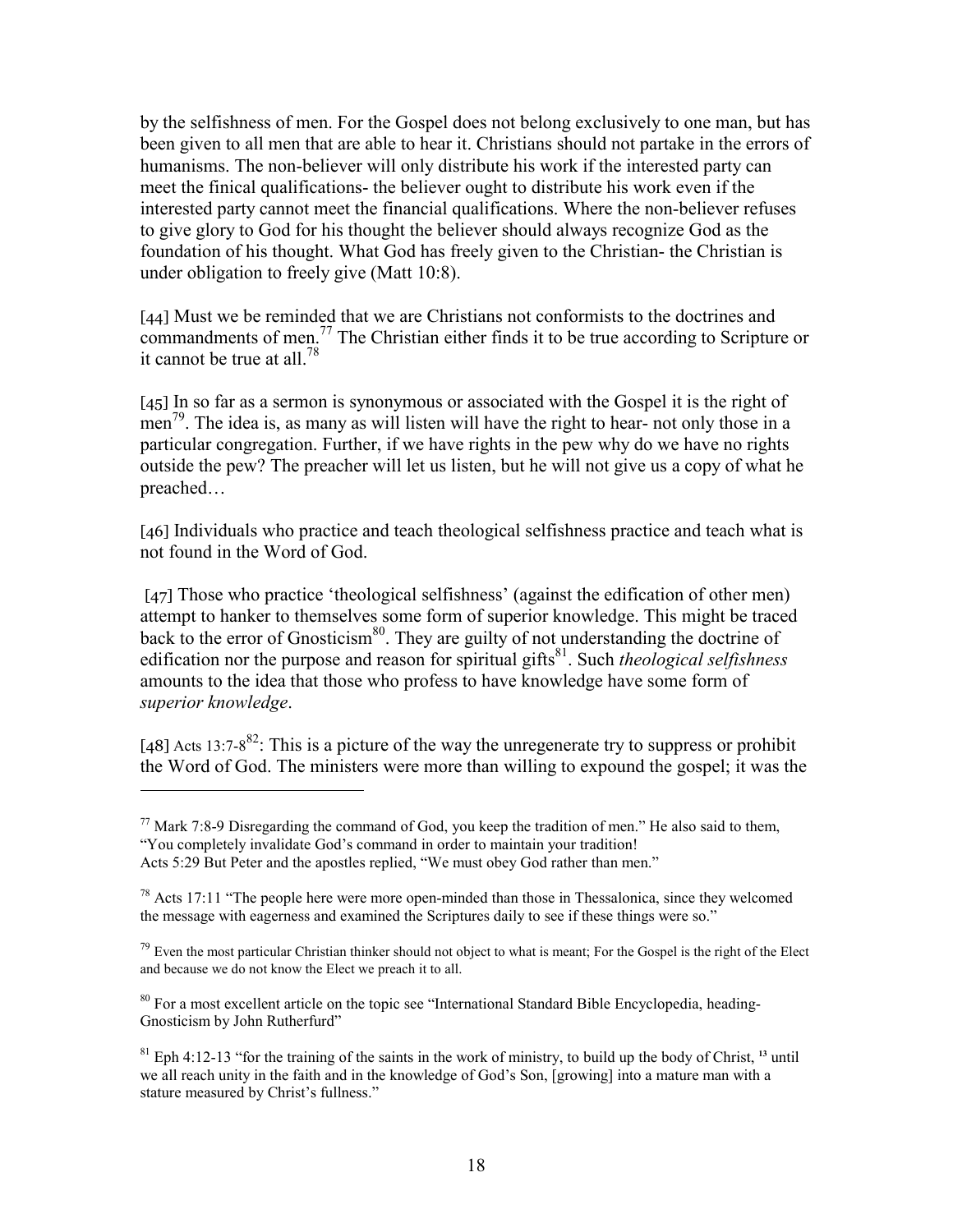by the selfishness of men. For the Gospel does not belong exclusively to one man, but has been given to all men that are able to hear it. Christians should not partake in the errors of humanisms. The non-believer will only distribute his work if the interested party can meet the finical qualifications- the believer ought to distribute his work even if the interested party cannot meet the financial qualifications. Where the non-believer refuses to give glory to God for his thought the believer should always recognize God as the foundation of his thought. What God has freely given to the Christian- the Christian is under obligation to freely give (Matt 10:8).

[44] Must we be reminded that we are Christians not conformists to the doctrines and commandments of men.<sup>77</sup> The Christian either finds it to be true according to Scripture or it cannot be true at all.<sup>78</sup>

[45] In so far as a sermon is synonymous or associated with the Gospel it is the right of men<sup>79</sup>. The idea is, as many as will listen will have the right to hear- not only those in a particular congregation. Further, if we have rights in the pew why do we have no rights outside the pew? The preacher will let us listen, but he will not give us a copy of what he preached…

[46] Individuals who practice and teach theological selfishness practice and teach what is not found in the Word of God.

[47] Those who practice 'theological selfishness' (against the edification of other men) attempt to hanker to themselves some form of superior knowledge. This might be traced back to the error of Gnosticism<sup>80</sup>. They are guilty of not understanding the doctrine of edification nor the purpose and reason for spiritual gifts<sup>81</sup>. Such *theological selfishness* amounts to the idea that those who profess to have knowledge have some form of superior knowledge.

[48] Acts 13:7-8<sup>82</sup>: This is a picture of the way the unregenerate try to suppress or prohibit the Word of God. The ministers were more than willing to expound the gospel; it was the

 $77$  Mark 7:8-9 Disregarding the command of God, you keep the tradition of men." He also said to them, "You completely invalidate God's command in order to maintain your tradition! Acts 5:29 But Peter and the apostles replied, "We must obey God rather than men."

 $78$  Acts 17:11 "The people here were more open-minded than those in Thessalonica, since they welcomed the message with eagerness and examined the Scriptures daily to see if these things were so."

 $79$  Even the most particular Christian thinker should not object to what is meant; For the Gospel is the right of the Elect and because we do not know the Elect we preach it to all.

<sup>&</sup>lt;sup>80</sup> For a most excellent article on the topic see "International Standard Bible Encyclopedia, heading-Gnosticism by John Rutherfurd"

 $81$  Eph 4:12-13 "for the training of the saints in the work of ministry, to build up the body of Christ,  $13$  until we all reach unity in the faith and in the knowledge of God's Son, [growing] into a mature man with a stature measured by Christ's fullness."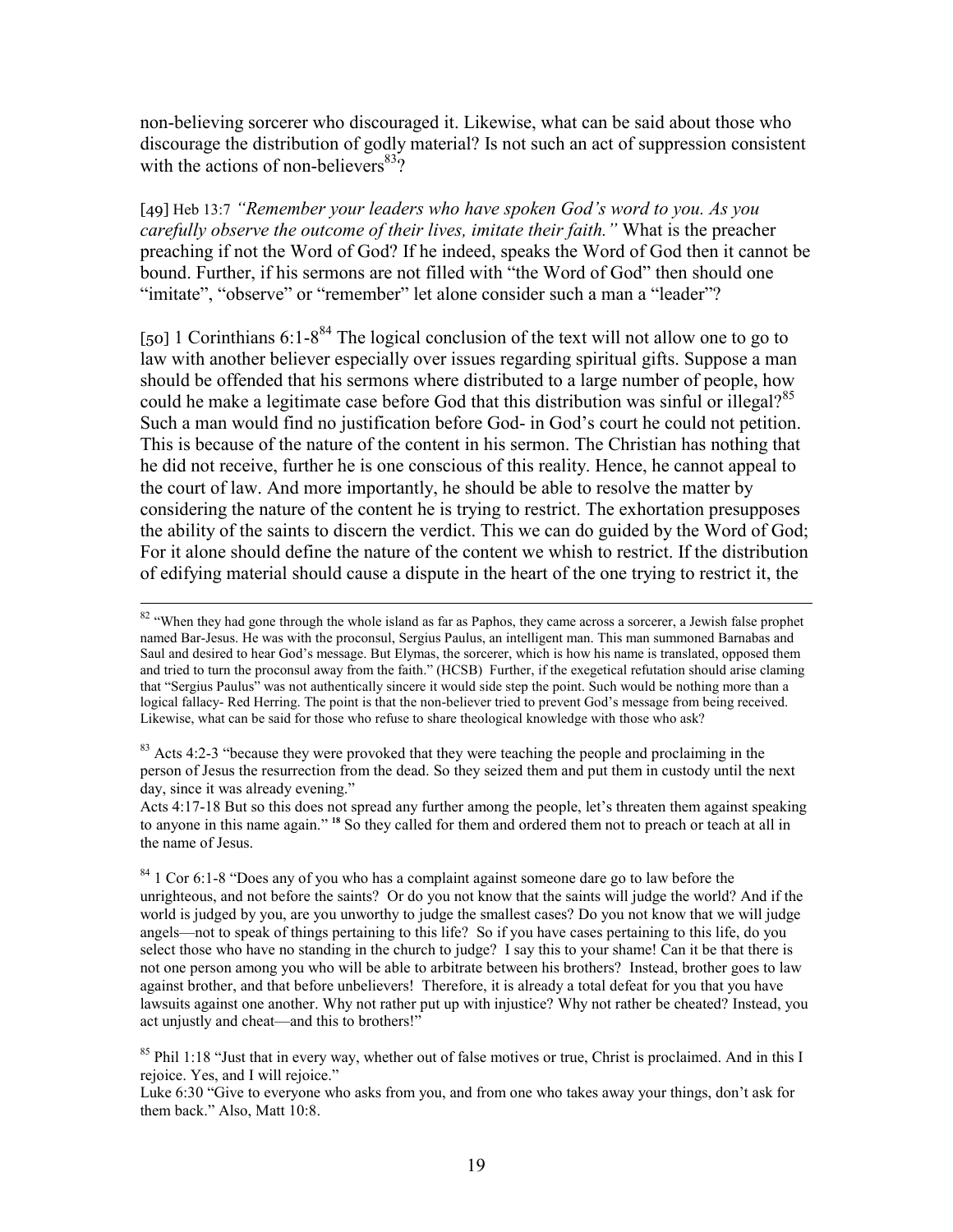non-believing sorcerer who discouraged it. Likewise, what can be said about those who discourage the distribution of godly material? Is not such an act of suppression consistent with the actions of non-believers  $83\frac{1}{2}$ 

[49] Heb 13:7 "Remember your leaders who have spoken God's word to you. As you carefully observe the outcome of their lives, imitate their faith." What is the preacher preaching if not the Word of God? If he indeed, speaks the Word of God then it cannot be bound. Further, if his sermons are not filled with "the Word of God" then should one "imitate", "observe" or "remember" let alone consider such a man a "leader"?

[50] 1 Corinthians 6:1-8<sup>84</sup> The logical conclusion of the text will not allow one to go to law with another believer especially over issues regarding spiritual gifts. Suppose a man should be offended that his sermons where distributed to a large number of people, how could he make a legitimate case before God that this distribution was sinful or illegal?<sup>85</sup> Such a man would find no justification before God- in God's court he could not petition. This is because of the nature of the content in his sermon. The Christian has nothing that he did not receive, further he is one conscious of this reality. Hence, he cannot appeal to the court of law. And more importantly, he should be able to resolve the matter by considering the nature of the content he is trying to restrict. The exhortation presupposes the ability of the saints to discern the verdict. This we can do guided by the Word of God; For it alone should define the nature of the content we whish to restrict. If the distribution of edifying material should cause a dispute in the heart of the one trying to restrict it, the

 $\overline{a}$ 

 $83$  Acts 4:2-3 "because they were provoked that they were teaching the people and proclaiming in the person of Jesus the resurrection from the dead. So they seized them and put them in custody until the next day, since it was already evening."

Acts 4:17-18 But so this does not spread any further among the people, let's threaten them against speaking to anyone in this name again." <sup>18</sup> So they called for them and ordered them not to preach or teach at all in the name of Jesus.

<sup>84</sup> 1 Cor 6:1-8 "Does any of you who has a complaint against someone dare go to law before the unrighteous, and not before the saints? Or do you not know that the saints will judge the world? And if the world is judged by you, are you unworthy to judge the smallest cases? Do you not know that we will judge angels—not to speak of things pertaining to this life? So if you have cases pertaining to this life, do you select those who have no standing in the church to judge? I say this to your shame! Can it be that there is not one person among you who will be able to arbitrate between his brothers? Instead, brother goes to law against brother, and that before unbelievers! Therefore, it is already a total defeat for you that you have lawsuits against one another. Why not rather put up with injustice? Why not rather be cheated? Instead, you act unjustly and cheat—and this to brothers!"

<sup>85</sup> Phil 1:18 "Just that in every way, whether out of false motives or true, Christ is proclaimed. And in this I rejoice. Yes, and I will rejoice."

Luke 6:30 "Give to everyone who asks from you, and from one who takes away your things, don't ask for them back." Also, Matt 10:8.

 $82$  "When they had gone through the whole island as far as Paphos, they came across a sorcerer, a Jewish false prophet named Bar-Jesus. He was with the proconsul, Sergius Paulus, an intelligent man. This man summoned Barnabas and Saul and desired to hear God's message. But Elymas, the sorcerer, which is how his name is translated, opposed them and tried to turn the proconsul away from the faith." (HCSB) Further, if the exegetical refutation should arise claming that "Sergius Paulus" was not authentically sincere it would side step the point. Such would be nothing more than a logical fallacy- Red Herring. The point is that the non-believer tried to prevent God's message from being received. Likewise, what can be said for those who refuse to share theological knowledge with those who ask?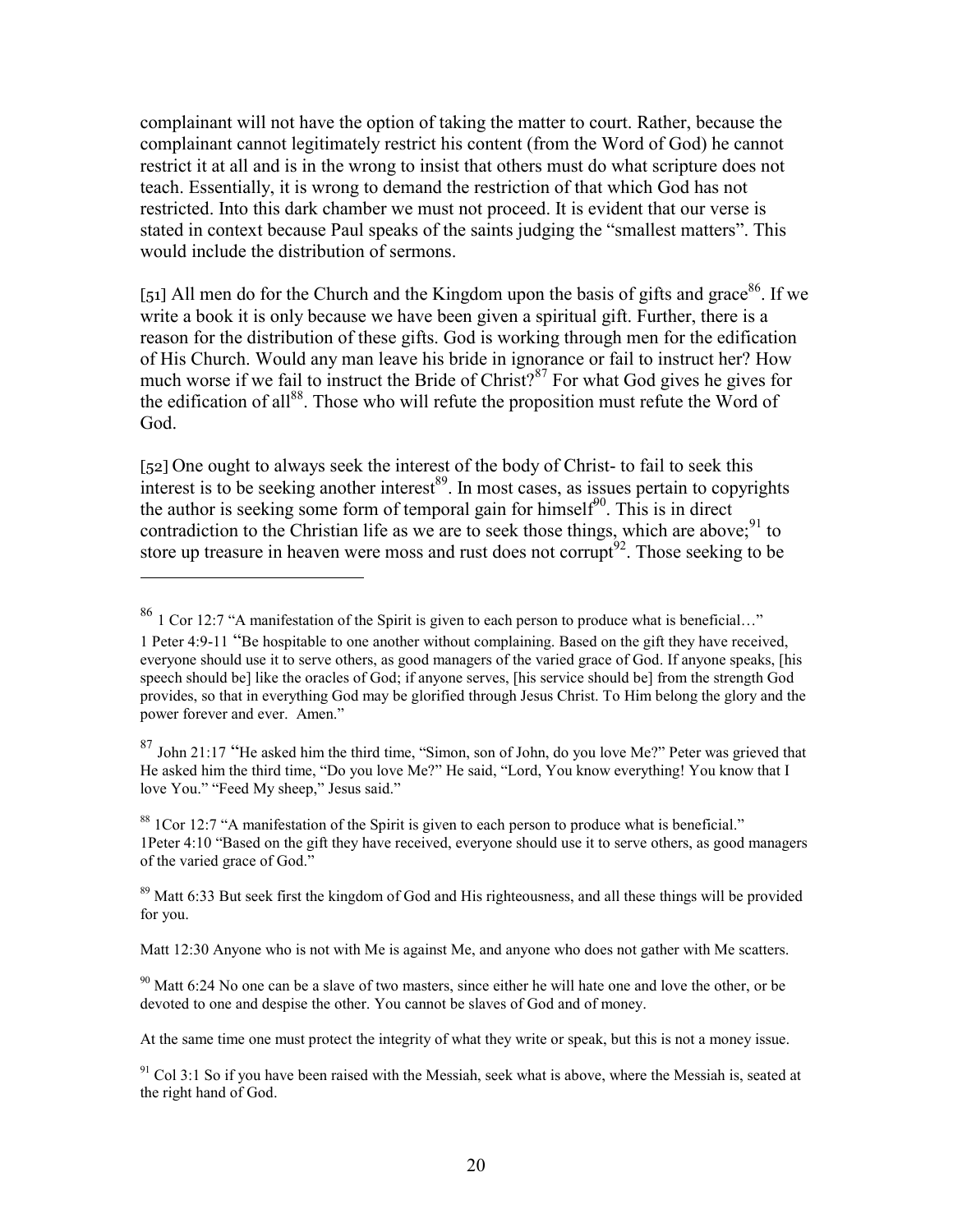complainant will not have the option of taking the matter to court. Rather, because the complainant cannot legitimately restrict his content (from the Word of God) he cannot restrict it at all and is in the wrong to insist that others must do what scripture does not teach. Essentially, it is wrong to demand the restriction of that which God has not restricted. Into this dark chamber we must not proceed. It is evident that our verse is stated in context because Paul speaks of the saints judging the "smallest matters". This would include the distribution of sermons.

[51] All men do for the Church and the Kingdom upon the basis of gifts and grace<sup>86</sup>. If we write a book it is only because we have been given a spiritual gift. Further, there is a reason for the distribution of these gifts. God is working through men for the edification of His Church. Would any man leave his bride in ignorance or fail to instruct her? How much worse if we fail to instruct the Bride of  $Christ?$ <sup>87</sup> For what God gives he gives for the edification of all<sup>88</sup>. Those who will refute the proposition must refute the Word of God.

[52] One ought to always seek the interest of the body of Christ- to fail to seek this interest is to be seeking another interest<sup>89</sup>. In most cases, as issues pertain to copyrights the author is seeking some form of temporal gain for himself $90$ . This is in direct contradiction to the Christian life as we are to seek those things, which are above;  $91$  to store up treasure in heaven were moss and rust does not corrupt<sup>92</sup>. Those seeking to be

<sup>86</sup> 1 Cor 12:7 "A manifestation of the Spirit is given to each person to produce what is beneficial…" 1 Peter 4:9-11 "Be hospitable to one another without complaining. Based on the gift they have received, everyone should use it to serve others, as good managers of the varied grace of God. If anyone speaks, [his speech should be] like the oracles of God; if anyone serves, [his service should be] from the strength God provides, so that in everything God may be glorified through Jesus Christ. To Him belong the glory and the power forever and ever. Amen."

 $87$  John 21:17 "He asked him the third time, "Simon, son of John, do you love Me?" Peter was grieved that He asked him the third time, "Do you love Me?" He said, "Lord, You know everything! You know that I love You." "Feed My sheep," Jesus said."

<sup>&</sup>lt;sup>88</sup> 1Cor 12:7 "A manifestation of the Spirit is given to each person to produce what is beneficial." 1Peter 4:10 "Based on the gift they have received, everyone should use it to serve others, as good managers of the varied grace of God."

<sup>&</sup>lt;sup>89</sup> Matt 6:33 But seek first the kingdom of God and His righteousness, and all these things will be provided for you.

Matt 12:30 Anyone who is not with Me is against Me, and anyone who does not gather with Me scatters.

 $90$  Matt 6:24 No one can be a slave of two masters, since either he will hate one and love the other, or be devoted to one and despise the other. You cannot be slaves of God and of money.

At the same time one must protect the integrity of what they write or speak, but this is not a money issue.

 $91$  Col 3:1 So if you have been raised with the Messiah, seek what is above, where the Messiah is, seated at the right hand of God.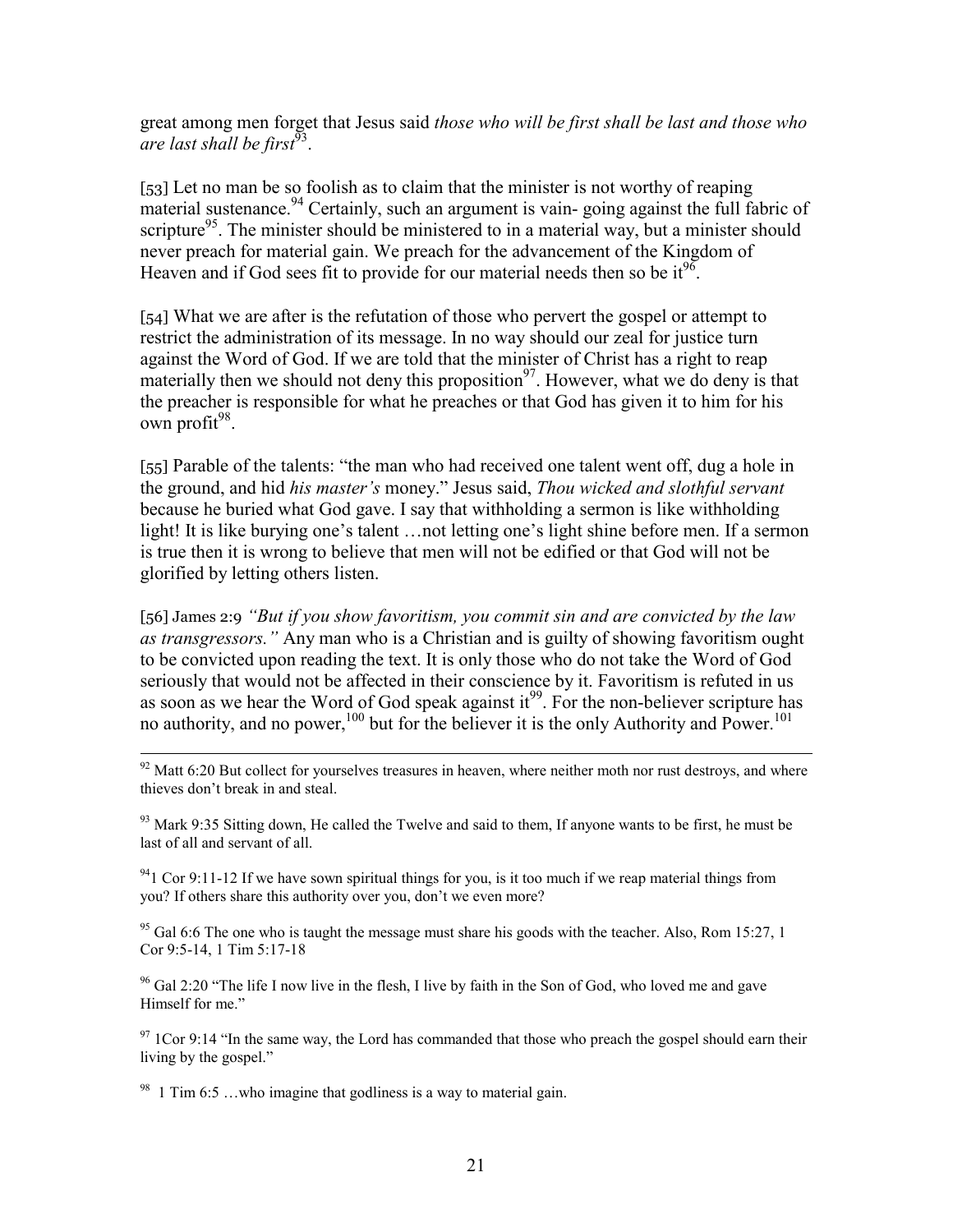great among men forget that Jesus said those who will be first shall be last and those who are last shall be first $^{53}$ .

[53] Let no man be so foolish as to claim that the minister is not worthy of reaping material sustenance.<sup>94</sup> Certainly, such an argument is vain-going against the full fabric of scripture<sup>95</sup>. The minister should be ministered to in a material way, but a minister should never preach for material gain. We preach for the advancement of the Kingdom of Heaven and if God sees fit to provide for our material needs then so be it<sup>96</sup>.

[54] What we are after is the refutation of those who pervert the gospel or attempt to restrict the administration of its message. In no way should our zeal for justice turn against the Word of God. If we are told that the minister of Christ has a right to reap materially then we should not deny this proposition<sup>97</sup>. However, what we do deny is that the preacher is responsible for what he preaches or that God has given it to him for his own profit $^{98}$ .

[55] Parable of the talents: "the man who had received one talent went off, dug a hole in the ground, and hid his master's money." Jesus said, Thou wicked and slothful servant because he buried what God gave. I say that withholding a sermon is like withholding light! It is like burying one's talent ... not letting one's light shine before men. If a sermon is true then it is wrong to believe that men will not be edified or that God will not be glorified by letting others listen.

[56] James 2:9 "But if you show favoritism, you commit sin and are convicted by the law as transgressors." Any man who is a Christian and is guilty of showing favoritism ought to be convicted upon reading the text. It is only those who do not take the Word of God seriously that would not be affected in their conscience by it. Favoritism is refuted in us as soon as we hear the Word of God speak against  $it^{99}$ . For the non-believer scripture has no authority, and no power,  $100$  but for the believer it is the only Authority and Power.  $101$ 

 $\overline{a}$  $92$  Matt 6:20 But collect for yourselves treasures in heaven, where neither moth nor rust destroys, and where thieves don't break in and steal.

 $93$  Mark 9:35 Sitting down, He called the Twelve and said to them, If anyone wants to be first, he must be last of all and servant of all.

 $941$  Cor 9:11-12 If we have sown spiritual things for you, is it too much if we reap material things from you? If others share this authority over you, don't we even more?

 $95$  Gal 6:6 The one who is taught the message must share his goods with the teacher. Also, Rom 15:27, 1 Cor 9:5-14, 1 Tim 5:17-18

 $96$  Gal 2:20 "The life I now live in the flesh, I live by faith in the Son of God, who loved me and gave Himself for me."

 $97$  1Cor 9:14 "In the same way, the Lord has commanded that those who preach the gospel should earn their living by the gospel."

 $98 \,$  1 Tim 6:5 ...who imagine that godliness is a way to material gain.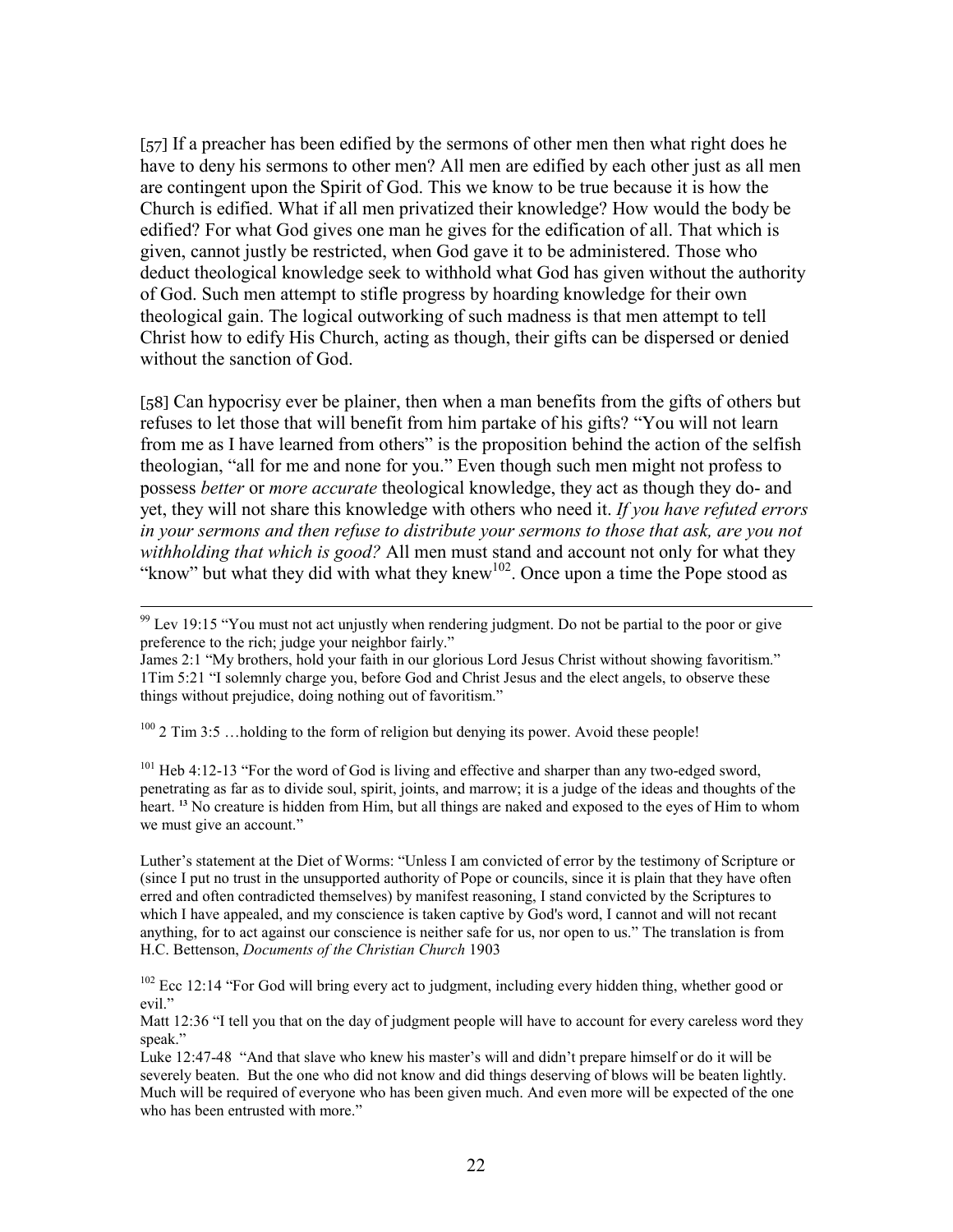[57] If a preacher has been edified by the sermons of other men then what right does he have to deny his sermons to other men? All men are edified by each other just as all men are contingent upon the Spirit of God. This we know to be true because it is how the Church is edified. What if all men privatized their knowledge? How would the body be edified? For what God gives one man he gives for the edification of all. That which is given, cannot justly be restricted, when God gave it to be administered. Those who deduct theological knowledge seek to withhold what God has given without the authority of God. Such men attempt to stifle progress by hoarding knowledge for their own theological gain. The logical outworking of such madness is that men attempt to tell Christ how to edify His Church, acting as though, their gifts can be dispersed or denied without the sanction of God.

[58] Can hypocrisy ever be plainer, then when a man benefits from the gifts of others but refuses to let those that will benefit from him partake of his gifts? "You will not learn from me as I have learned from others" is the proposition behind the action of the selfish theologian, "all for me and none for you." Even though such men might not profess to possess better or more accurate theological knowledge, they act as though they do- and yet, they will not share this knowledge with others who need it. If you have refuted errors in your sermons and then refuse to distribute your sermons to those that ask, are you not withholding that which is good? All men must stand and account not only for what they "know" but what they did with what they knew $102$ . Once upon a time the Pope stood as

<sup>100</sup> 2 Tim 3:5 ...holding to the form of religion but denying its power. Avoid these people!

 $\overline{a}$ 

<sup>101</sup> Heb 4:12-13 "For the word of God is living and effective and sharper than any two-edged sword, penetrating as far as to divide soul, spirit, joints, and marrow; it is a judge of the ideas and thoughts of the heart. <sup>13</sup> No creature is hidden from Him, but all things are naked and exposed to the eyes of Him to whom we must give an account."

Luther's statement at the Diet of Worms: "Unless I am convicted of error by the testimony of Scripture or (since I put no trust in the unsupported authority of Pope or councils, since it is plain that they have often erred and often contradicted themselves) by manifest reasoning, I stand convicted by the Scriptures to which I have appealed, and my conscience is taken captive by God's word, I cannot and will not recant anything, for to act against our conscience is neither safe for us, nor open to us." The translation is from H.C. Bettenson, Documents of the Christian Church 1903

<sup>102</sup> Ecc 12:14 "For God will bring every act to judgment, including every hidden thing, whether good or evil."

Matt 12:36 "I tell you that on the day of judgment people will have to account for every careless word they speak."

Luke 12:47-48 "And that slave who knew his master's will and didn't prepare himself or do it will be severely beaten. But the one who did not know and did things deserving of blows will be beaten lightly. Much will be required of everyone who has been given much. And even more will be expected of the one who has been entrusted with more."

 $99$  Lev 19:15 "You must not act unjustly when rendering judgment. Do not be partial to the poor or give preference to the rich; judge your neighbor fairly."

James 2:1 "My brothers, hold your faith in our glorious Lord Jesus Christ without showing favoritism." 1Tim 5:21 "I solemnly charge you, before God and Christ Jesus and the elect angels, to observe these things without prejudice, doing nothing out of favoritism."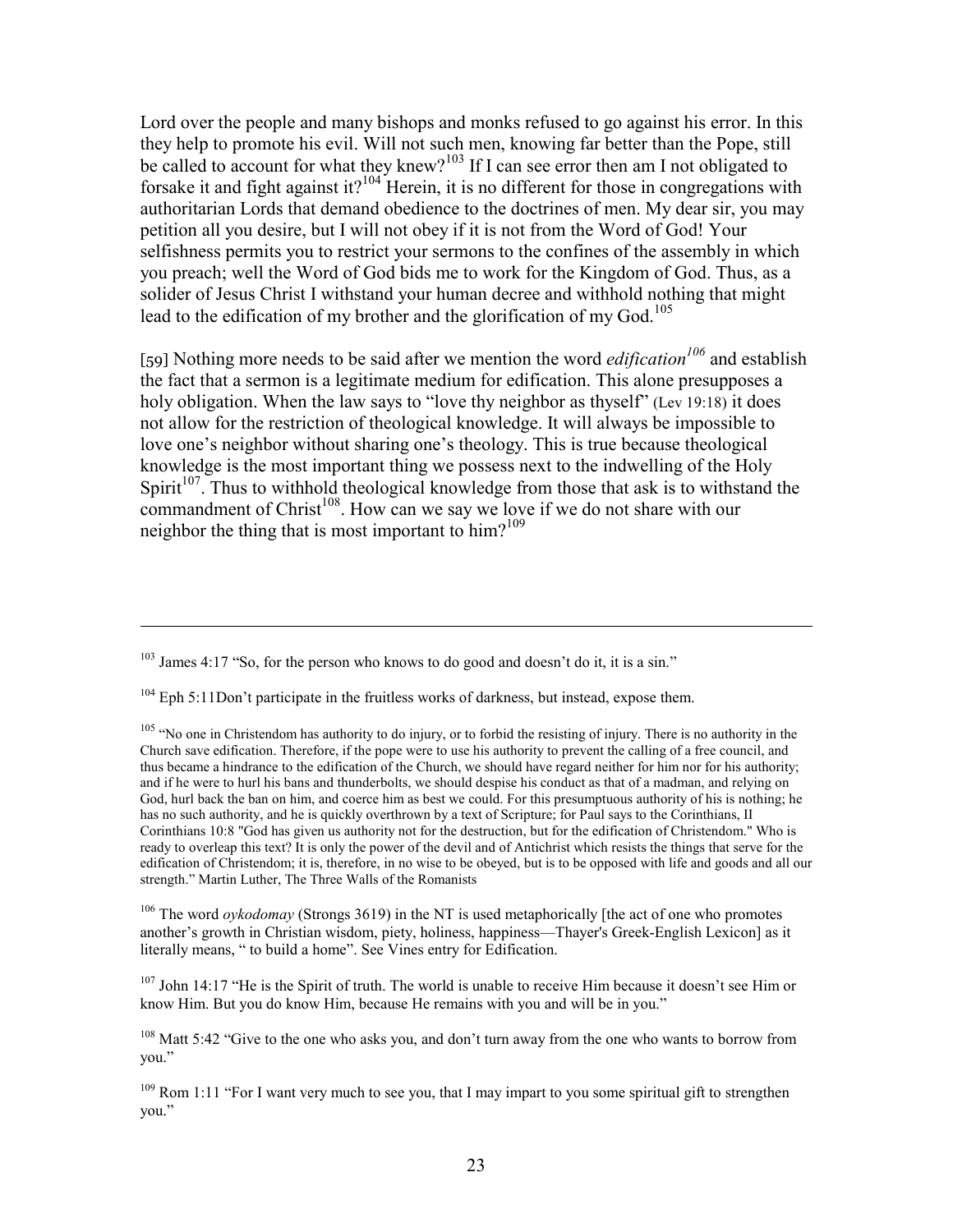Lord over the people and many bishops and monks refused to go against his error. In this they help to promote his evil. Will not such men, knowing far better than the Pope, still be called to account for what they knew?<sup>103</sup> If I can see error then am I not obligated to forsake it and fight against it?<sup>104</sup> Herein, it is no different for those in congregations with authoritarian Lords that demand obedience to the doctrines of men. My dear sir, you may petition all you desire, but I will not obey if it is not from the Word of God! Your selfishness permits you to restrict your sermons to the confines of the assembly in which you preach; well the Word of God bids me to work for the Kingdom of God. Thus, as a solider of Jesus Christ I withstand your human decree and withhold nothing that might lead to the edification of my brother and the glorification of my God.<sup>105</sup>

[59] Nothing more needs to be said after we mention the word *edification*<sup>106</sup> and establish the fact that a sermon is a legitimate medium for edification. This alone presupposes a holy obligation. When the law says to "love thy neighbor as thyself" (Lev 19:18) it does not allow for the restriction of theological knowledge. It will always be impossible to love one's neighbor without sharing one's theology. This is true because theological knowledge is the most important thing we possess next to the indwelling of the Holy Spirit<sup>107</sup>. Thus to withhold theological knowledge from those that ask is to withstand the commandment of Christ<sup>108</sup>. How can we say we love if we do not share with our neighbor the thing that is most important to him? $109$ 

 $\overline{a}$ 

<sup>106</sup> The word *oykodomay* (Strongs 3619) in the NT is used metaphorically [the act of one who promotes another's growth in Christian wisdom, piety, holiness, happiness—Thayer's Greek-English Lexicon] as it literally means, " to build a home". See Vines entry for Edification.

 $107$  John 14:17 "He is the Spirit of truth. The world is unable to receive Him because it doesn't see Him or know Him. But you do know Him, because He remains with you and will be in you."

<sup>108</sup> Matt 5:42 "Give to the one who asks you, and don't turn away from the one who wants to borrow from you."

<sup>109</sup> Rom 1:11 "For I want very much to see you, that I may impart to you some spiritual gift to strengthen you."

 $103$  James 4:17 "So, for the person who knows to do good and doesn't do it, it is a sin."

 $104$  Eph 5:11Don't participate in the fruitless works of darkness, but instead, expose them.

 $105$  "No one in Christendom has authority to do injury, or to forbid the resisting of injury. There is no authority in the Church save edification. Therefore, if the pope were to use his authority to prevent the calling of a free council, and thus became a hindrance to the edification of the Church, we should have regard neither for him nor for his authority; and if he were to hurl his bans and thunderbolts, we should despise his conduct as that of a madman, and relying on God, hurl back the ban on him, and coerce him as best we could. For this presumptuous authority of his is nothing; he has no such authority, and he is quickly overthrown by a text of Scripture; for Paul says to the Corinthians, II Corinthians 10:8 "God has given us authority not for the destruction, but for the edification of Christendom." Who is ready to overleap this text? It is only the power of the devil and of Antichrist which resists the things that serve for the edification of Christendom; it is, therefore, in no wise to be obeyed, but is to be opposed with life and goods and all our strength." Martin Luther, The Three Walls of the Romanists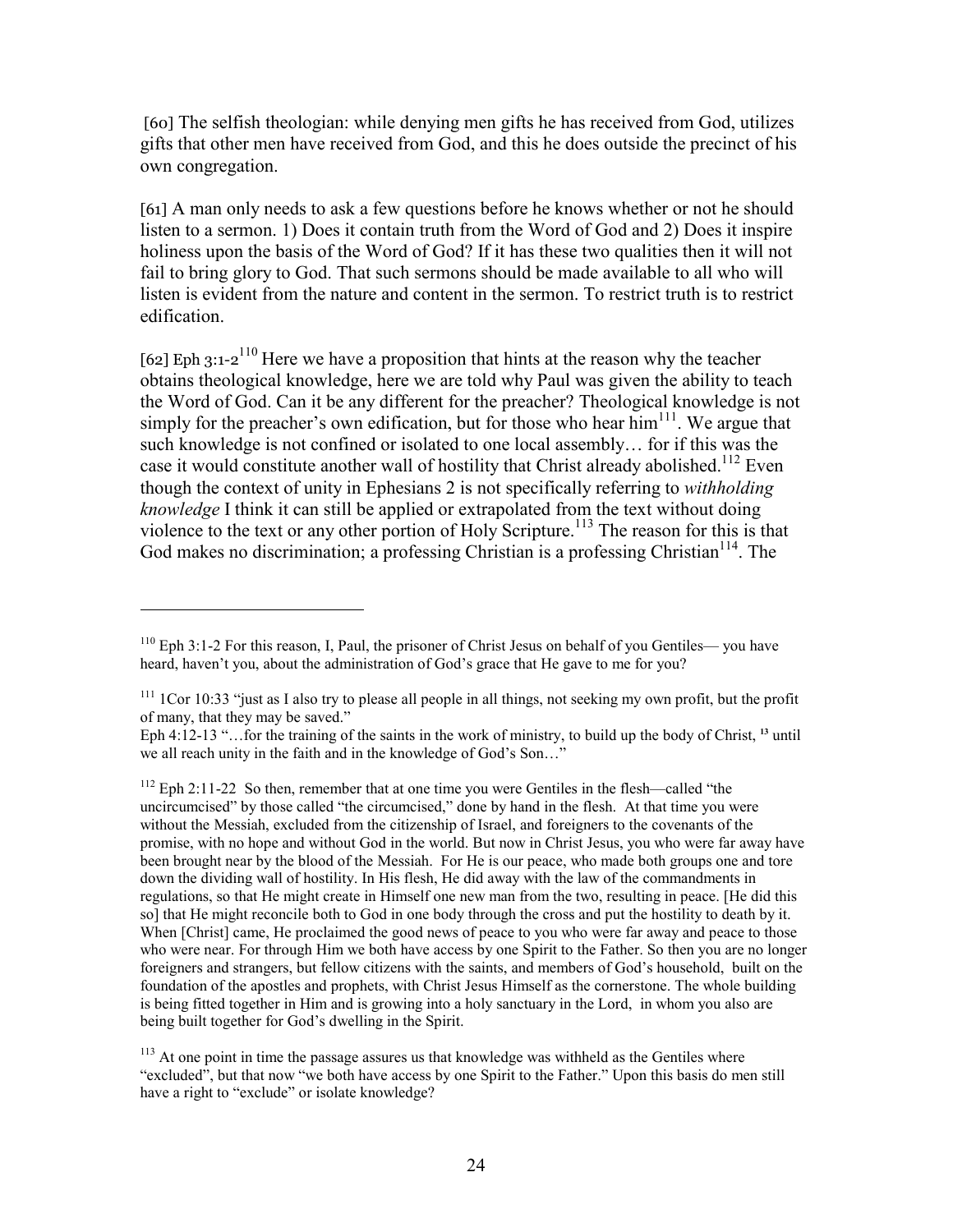[60] The selfish theologian: while denying men gifts he has received from God, utilizes gifts that other men have received from God, and this he does outside the precinct of his own congregation.

[61] A man only needs to ask a few questions before he knows whether or not he should listen to a sermon. 1) Does it contain truth from the Word of God and 2) Does it inspire holiness upon the basis of the Word of God? If it has these two qualities then it will not fail to bring glory to God. That such sermons should be made available to all who will listen is evident from the nature and content in the sermon. To restrict truth is to restrict edification.

[62] Eph 3:1-2<sup>110</sup> Here we have a proposition that hints at the reason why the teacher obtains theological knowledge, here we are told why Paul was given the ability to teach the Word of God. Can it be any different for the preacher? Theological knowledge is not simply for the preacher's own edification, but for those who hear  $\text{him}^{111}$ . We argue that such knowledge is not confined or isolated to one local assembly… for if this was the case it would constitute another wall of hostility that Christ already abolished.<sup>112</sup> Even though the context of unity in Ephesians 2 is not specifically referring to withholding knowledge I think it can still be applied or extrapolated from the text without doing violence to the text or any other portion of Holy Scripture.<sup>113</sup> The reason for this is that God makes no discrimination; a professing Christian is a professing Christian<sup>114</sup>. The

<sup>110</sup> Eph 3:1-2 For this reason, I, Paul, the prisoner of Christ Jesus on behalf of you Gentiles— you have heard, haven't you, about the administration of God's grace that He gave to me for you?

 $111$  1Cor 10:33 "just as I also try to please all people in all things, not seeking my own profit, but the profit of many, that they may be saved."

Eph 4:12-13 "... for the training of the saints in the work of ministry, to build up the body of Christ, <sup>13</sup> until we all reach unity in the faith and in the knowledge of God's Son…"

<sup>&</sup>lt;sup>112</sup> Eph 2:11-22 So then, remember that at one time you were Gentiles in the flesh—called "the uncircumcised" by those called "the circumcised," done by hand in the flesh. At that time you were without the Messiah, excluded from the citizenship of Israel, and foreigners to the covenants of the promise, with no hope and without God in the world. But now in Christ Jesus, you who were far away have been brought near by the blood of the Messiah. For He is our peace, who made both groups one and tore down the dividing wall of hostility. In His flesh, He did away with the law of the commandments in regulations, so that He might create in Himself one new man from the two, resulting in peace. [He did this so] that He might reconcile both to God in one body through the cross and put the hostility to death by it. When [Christ] came, He proclaimed the good news of peace to you who were far away and peace to those who were near. For through Him we both have access by one Spirit to the Father. So then you are no longer foreigners and strangers, but fellow citizens with the saints, and members of God's household, built on the foundation of the apostles and prophets, with Christ Jesus Himself as the cornerstone. The whole building is being fitted together in Him and is growing into a holy sanctuary in the Lord, in whom you also are being built together for God's dwelling in the Spirit.

<sup>&</sup>lt;sup>113</sup> At one point in time the passage assures us that knowledge was withheld as the Gentiles where "excluded", but that now "we both have access by one Spirit to the Father." Upon this basis do men still have a right to "exclude" or isolate knowledge?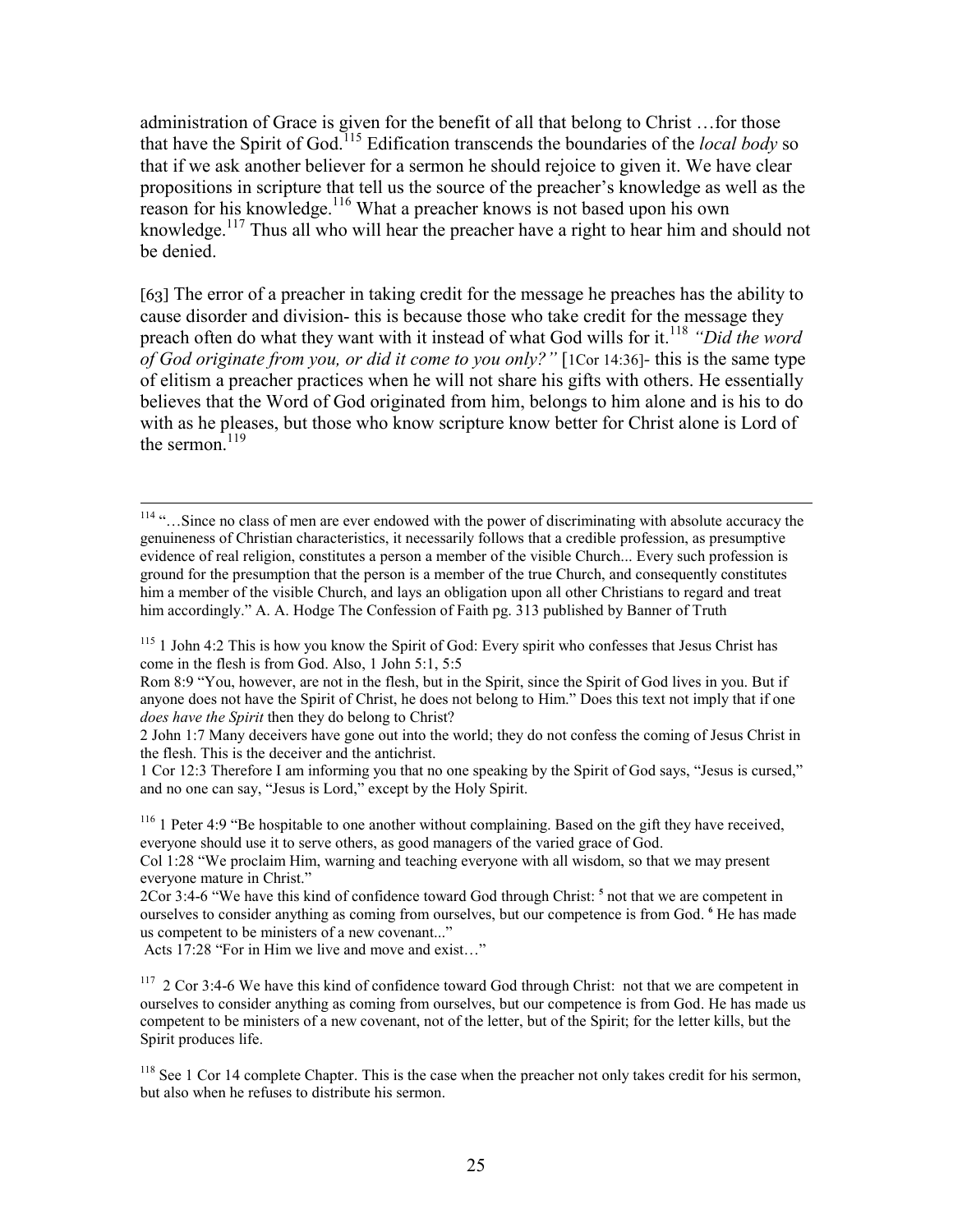administration of Grace is given for the benefit of all that belong to Christ …for those that have the Spirit of God.<sup>115</sup> Edification transcends the boundaries of the *local body* so that if we ask another believer for a sermon he should rejoice to given it. We have clear propositions in scripture that tell us the source of the preacher's knowledge as well as the reason for his knowledge.<sup>116</sup> What a preacher knows is not based upon his own knowledge.<sup>117</sup> Thus all who will hear the preacher have a right to hear him and should not be denied.

[63] The error of a preacher in taking credit for the message he preaches has the ability to cause disorder and division- this is because those who take credit for the message they preach often do what they want with it instead of what God wills for it.<sup>118</sup> "Did the word of God originate from you, or did it come to you only?" [1Cor 14:36]- this is the same type of elitism a preacher practices when he will not share his gifts with others. He essentially believes that the Word of God originated from him, belongs to him alone and is his to do with as he pleases, but those who know scripture know better for Christ alone is Lord of the sermon.<sup>119</sup>

Rom 8:9 "You, however, are not in the flesh, but in the Spirit, since the Spirit of God lives in you. But if anyone does not have the Spirit of Christ, he does not belong to Him." Does this text not imply that if one does have the Spirit then they do belong to Christ?

2 John 1:7 Many deceivers have gone out into the world; they do not confess the coming of Jesus Christ in the flesh. This is the deceiver and the antichrist.

1 Cor 12:3 Therefore I am informing you that no one speaking by the Spirit of God says, "Jesus is cursed," and no one can say, "Jesus is Lord," except by the Holy Spirit.

 $116$  1 Peter 4:9 "Be hospitable to one another without complaining. Based on the gift they have received, everyone should use it to serve others, as good managers of the varied grace of God.

Acts 17:28 "For in Him we live and move and exist…"

 $\overline{a}$ <sup>114</sup> "...Since no class of men are ever endowed with the power of discriminating with absolute accuracy the genuineness of Christian characteristics, it necessarily follows that a credible profession, as presumptive evidence of real religion, constitutes a person a member of the visible Church... Every such profession is ground for the presumption that the person is a member of the true Church, and consequently constitutes him a member of the visible Church, and lays an obligation upon all other Christians to regard and treat him accordingly." A. A. Hodge The Confession of Faith pg. 313 published by Banner of Truth

<sup>&</sup>lt;sup>115</sup> 1 John 4:2 This is how you know the Spirit of God: Every spirit who confesses that Jesus Christ has come in the flesh is from God. Also, 1 John 5:1, 5:5

Col 1:28 "We proclaim Him, warning and teaching everyone with all wisdom, so that we may present everyone mature in Christ."

<sup>2</sup>Cor 3:4-6 "We have this kind of confidence toward God through Christ: <sup>5</sup> not that we are competent in ourselves to consider anything as coming from ourselves, but our competence is from God. <sup>6</sup> He has made us competent to be ministers of a new covenant..."

<sup>&</sup>lt;sup>117</sup> 2 Cor 3:4-6 We have this kind of confidence toward God through Christ: not that we are competent in ourselves to consider anything as coming from ourselves, but our competence is from God. He has made us competent to be ministers of a new covenant, not of the letter, but of the Spirit; for the letter kills, but the Spirit produces life.

<sup>&</sup>lt;sup>118</sup> See 1 Cor 14 complete Chapter. This is the case when the preacher not only takes credit for his sermon, but also when he refuses to distribute his sermon.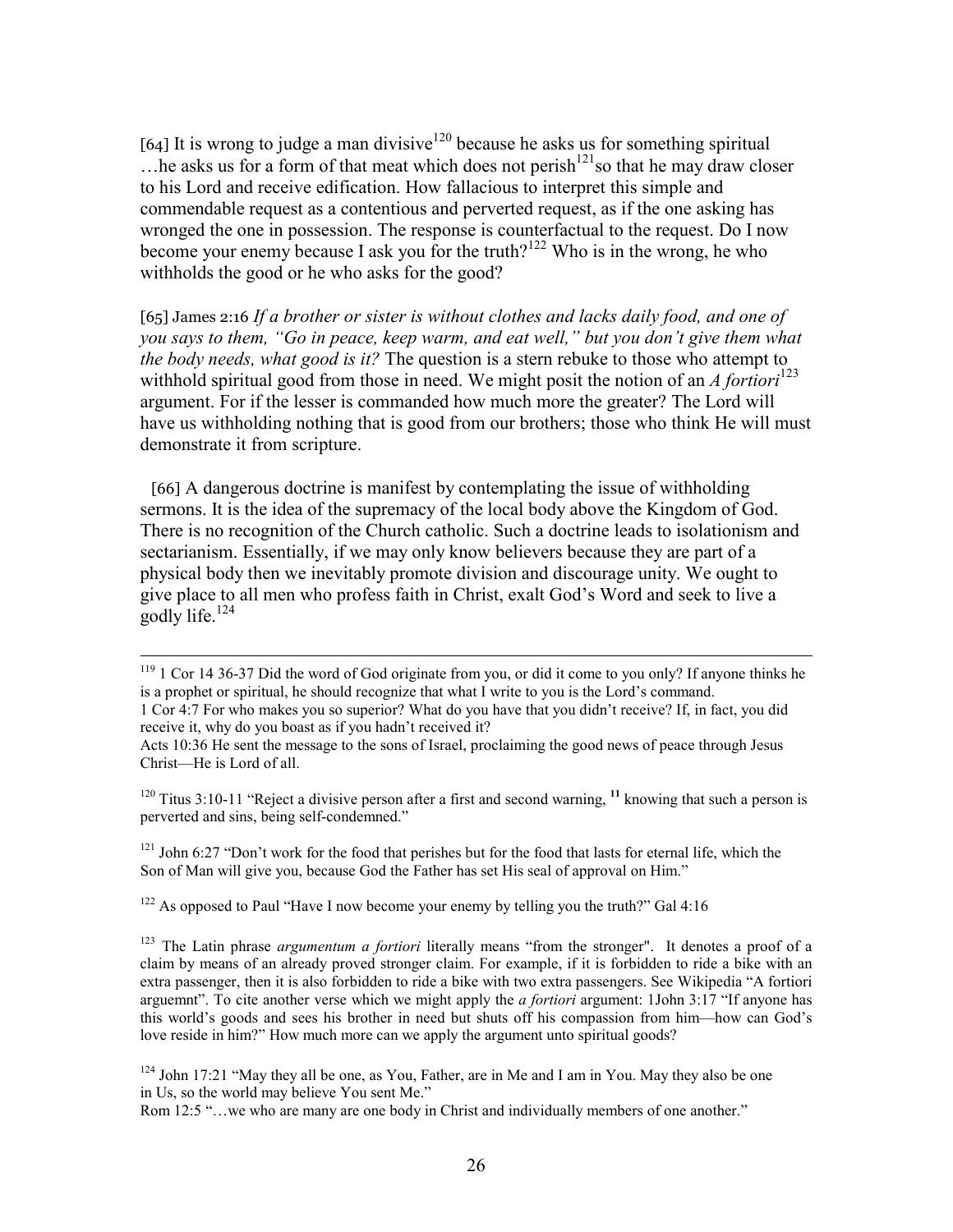[64] It is wrong to judge a man divisive<sup>120</sup> because he asks us for something spiritual  $\ldots$ he asks us for a form of that meat which does not perish<sup>121</sup>so that he may draw closer to his Lord and receive edification. How fallacious to interpret this simple and commendable request as a contentious and perverted request, as if the one asking has wronged the one in possession. The response is counterfactual to the request. Do I now become your enemy because I ask you for the truth?<sup>122</sup> Who is in the wrong, he who withholds the good or he who asks for the good?

[65] James 2:16 If a brother or sister is without clothes and lacks daily food, and one of you says to them, "Go in peace, keep warm, and eat well," but you don't give them what the body needs, what good is it? The question is a stern rebuke to those who attempt to withhold spiritual good from those in need. We might posit the notion of an A fortiori<sup>123</sup> argument. For if the lesser is commanded how much more the greater? The Lord will have us withholding nothing that is good from our brothers; those who think He will must demonstrate it from scripture.

 [66] A dangerous doctrine is manifest by contemplating the issue of withholding sermons. It is the idea of the supremacy of the local body above the Kingdom of God. There is no recognition of the Church catholic. Such a doctrine leads to isolationism and sectarianism. Essentially, if we may only know believers because they are part of a physical body then we inevitably promote division and discourage unity. We ought to give place to all men who profess faith in Christ, exalt God's Word and seek to live a godly life.<sup>124</sup>

 $\overline{a}$ 

<sup>120</sup> Titus 3:10-11 "Reject a divisive person after a first and second warning, <sup>11</sup> knowing that such a person is perverted and sins, being self-condemned."

 $121$  John 6:27 "Don't work for the food that perishes but for the food that lasts for eternal life, which the Son of Man will give you, because God the Father has set His seal of approval on Him."

 $122$  As opposed to Paul "Have I now become your enemy by telling you the truth?" Gal 4:16

<sup>123</sup> The Latin phrase *argumentum a fortiori* literally means "from the stronger". It denotes a proof of a claim by means of an already proved stronger claim. For example, if it is forbidden to ride a bike with an extra passenger, then it is also forbidden to ride a bike with two extra passengers. See Wikipedia "A fortiori arguemnt". To cite another verse which we might apply the *a fortiori* argument: 1John  $3:17$  "If anyone has this world's goods and sees his brother in need but shuts off his compassion from him—how can God's love reside in him?" How much more can we apply the argument unto spiritual goods?

<sup>124</sup> John 17:21 "May they all be one, as You, Father, are in Me and I am in You. May they also be one in Us, so the world may believe You sent Me."

Rom 12:5 "…we who are many are one body in Christ and individually members of one another."

 $119$  1 Cor 14 36-37 Did the word of God originate from you, or did it come to you only? If anyone thinks he is a prophet or spiritual, he should recognize that what I write to you is the Lord's command. 1 Cor 4:7 For who makes you so superior? What do you have that you didn't receive? If, in fact, you did

receive it, why do you boast as if you hadn't received it?

Acts 10:36 He sent the message to the sons of Israel, proclaiming the good news of peace through Jesus Christ—He is Lord of all.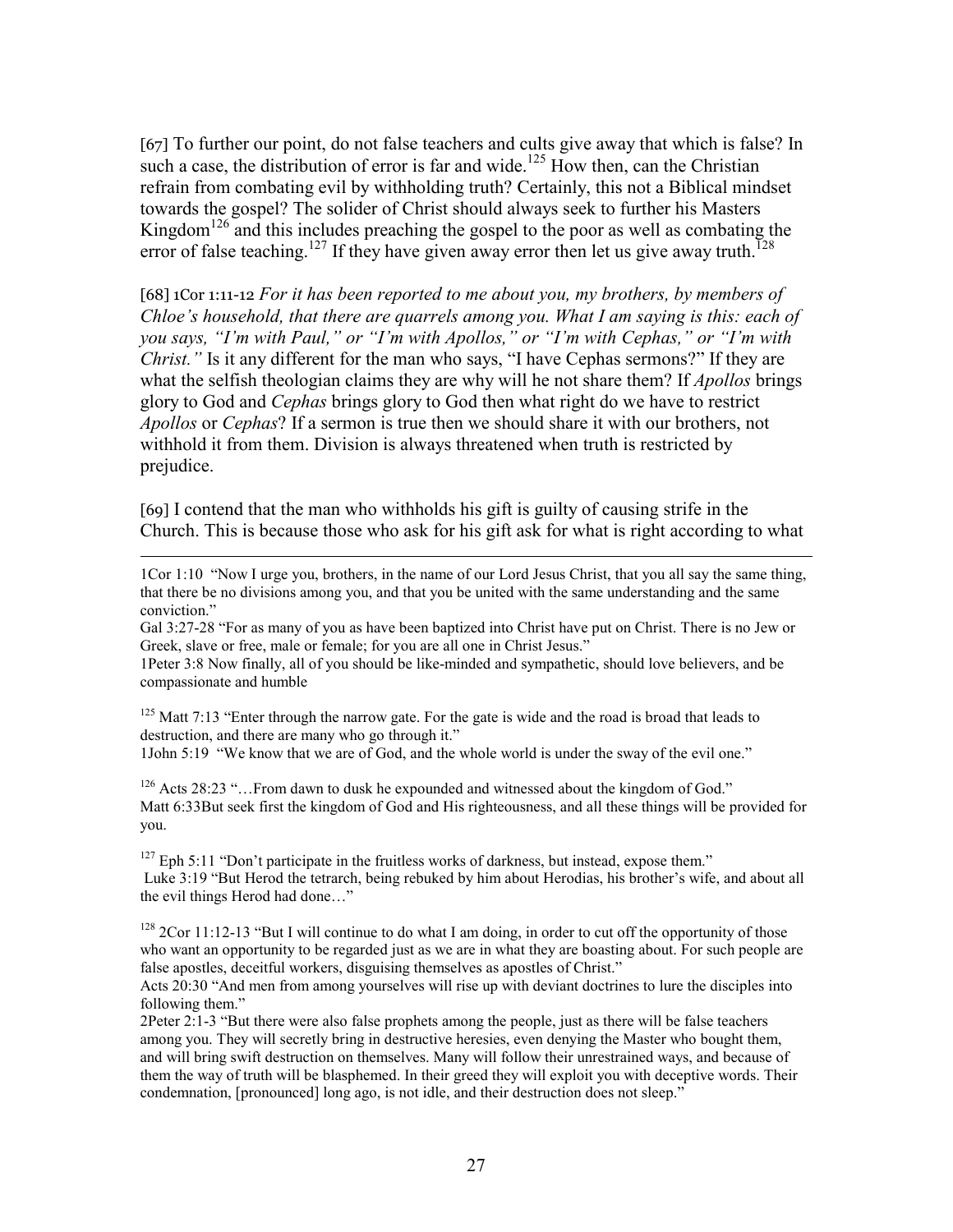[67] To further our point, do not false teachers and cults give away that which is false? In such a case, the distribution of error is far and wide.<sup>125</sup> How then, can the Christian refrain from combating evil by withholding truth? Certainly, this not a Biblical mindset towards the gospel? The solider of Christ should always seek to further his Masters Kingdom<sup>126</sup> and this includes preaching the gospel to the poor as well as combating the error of false teaching.<sup>127</sup> If they have given away error then let us give away truth.<sup>128</sup>

[68] 1Cor 1:11-12 For it has been reported to me about you, my brothers, by members of Chloe's household, that there are quarrels among you. What I am saying is this: each of you says, "I'm with Paul," or "I'm with Apollos," or "I'm with Cephas," or "I'm with Christ." Is it any different for the man who says, "I have Cephas sermons?" If they are what the selfish theologian claims they are why will he not share them? If *Apollos* brings glory to God and Cephas brings glory to God then what right do we have to restrict Apollos or Cephas? If a sermon is true then we should share it with our brothers, not withhold it from them. Division is always threatened when truth is restricted by prejudice.

[69] I contend that the man who withholds his gift is guilty of causing strife in the Church. This is because those who ask for his gift ask for what is right according to what

 $\overline{a}$ 

1Cor 1:10 "Now I urge you, brothers, in the name of our Lord Jesus Christ, that you all say the same thing, that there be no divisions among you, and that you be united with the same understanding and the same conviction."

Gal 3:27-28 "For as many of you as have been baptized into Christ have put on Christ. There is no Jew or Greek, slave or free, male or female; for you are all one in Christ Jesus."

1Peter 3:8 Now finally, all of you should be like-minded and sympathetic, should love believers, and be compassionate and humble

<sup>125</sup> Matt 7:13 "Enter through the narrow gate. For the gate is wide and the road is broad that leads to destruction, and there are many who go through it."

1John 5:19 "We know that we are of God, and the whole world is under the sway of the evil one."

<sup>126</sup> Acts 28:23 "...From dawn to dusk he expounded and witnessed about the kingdom of God." Matt 6:33But seek first the kingdom of God and His righteousness, and all these things will be provided for you.

 $127$  Eph 5:11 "Don't participate in the fruitless works of darkness, but instead, expose them." Luke 3:19 "But Herod the tetrarch, being rebuked by him about Herodias, his brother's wife, and about all the evil things Herod had done…"

 $128$  2Cor 11:12-13 "But I will continue to do what I am doing, in order to cut off the opportunity of those who want an opportunity to be regarded just as we are in what they are boasting about. For such people are false apostles, deceitful workers, disguising themselves as apostles of Christ."

Acts 20:30 "And men from among yourselves will rise up with deviant doctrines to lure the disciples into following them."

2Peter 2:1-3 "But there were also false prophets among the people, just as there will be false teachers among you. They will secretly bring in destructive heresies, even denying the Master who bought them, and will bring swift destruction on themselves. Many will follow their unrestrained ways, and because of them the way of truth will be blasphemed. In their greed they will exploit you with deceptive words. Their condemnation, [pronounced] long ago, is not idle, and their destruction does not sleep."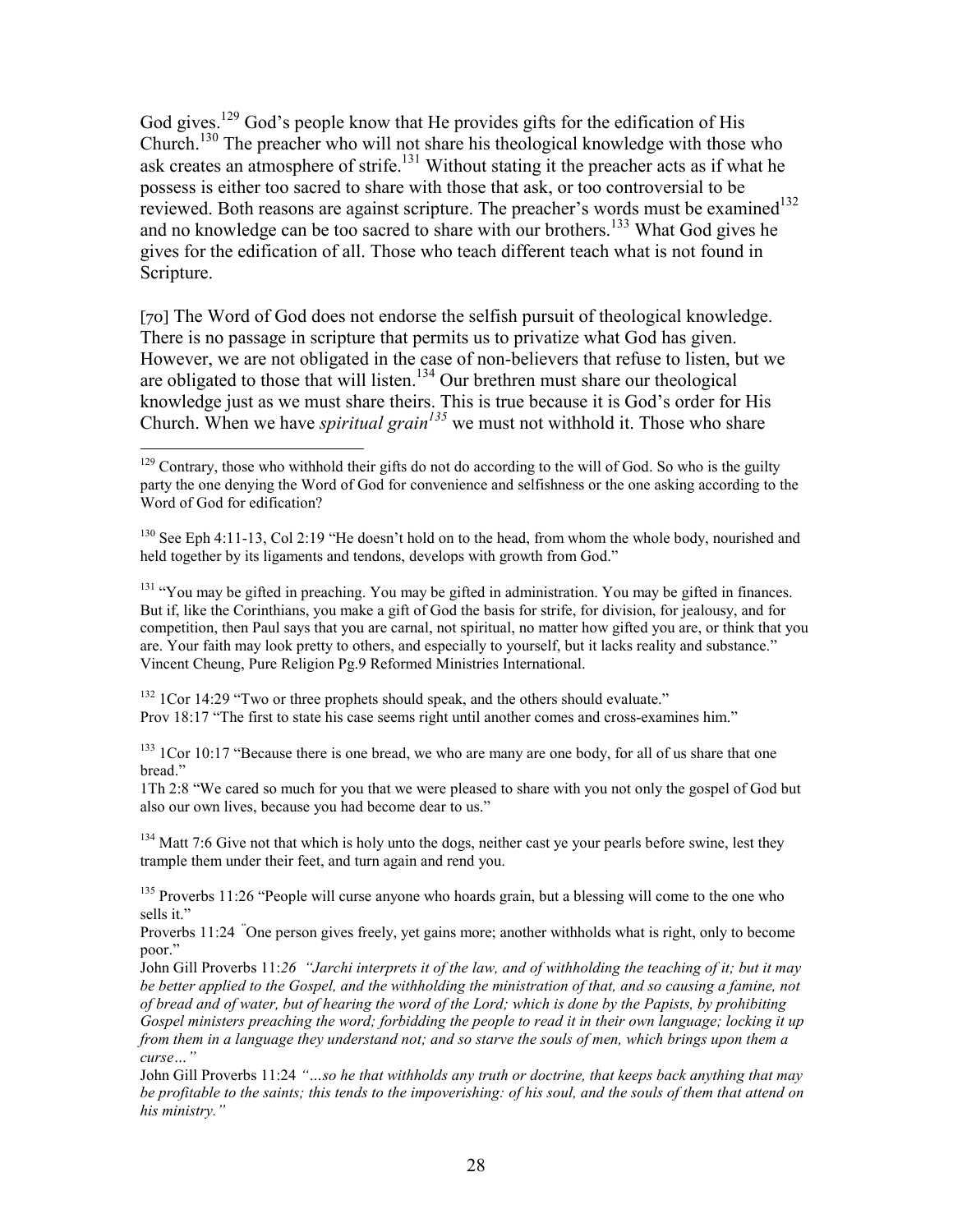God gives.<sup>129</sup> God's people know that He provides gifts for the edification of His Church.<sup>130</sup> The preacher who will not share his theological knowledge with those who ask creates an atmosphere of strife.<sup>131</sup> Without stating it the preacher acts as if what he possess is either too sacred to share with those that ask, or too controversial to be reviewed. Both reasons are against scripture. The preacher's words must be examined<sup>132</sup> and no knowledge can be too sacred to share with our brothers.<sup>133</sup> What God gives he gives for the edification of all. Those who teach different teach what is not found in Scripture.

[70] The Word of God does not endorse the selfish pursuit of theological knowledge. There is no passage in scripture that permits us to privatize what God has given. However, we are not obligated in the case of non-believers that refuse to listen, but we are obligated to those that will listen.<sup>134</sup> Our brethren must share our theological knowledge just as we must share theirs. This is true because it is God's order for His Church. When we have *spiritual grain*<sup>135</sup> we must not withhold it. Those who share

 $\overline{a}$ 

<sup>131</sup> "You may be gifted in preaching. You may be gifted in administration. You may be gifted in finances. But if, like the Corinthians, you make a gift of God the basis for strife, for division, for jealousy, and for competition, then Paul says that you are carnal, not spiritual, no matter how gifted you are, or think that you are. Your faith may look pretty to others, and especially to yourself, but it lacks reality and substance." Vincent Cheung, Pure Religion Pg.9 Reformed Ministries International.

<sup>132</sup> 1Cor 14:29 "Two or three prophets should speak, and the others should evaluate." Prov 18:17 "The first to state his case seems right until another comes and cross-examines him."

<sup>133</sup> 1Cor 10:17 "Because there is one bread, we who are many are one body, for all of us share that one bread."

1Th 2:8 "We cared so much for you that we were pleased to share with you not only the gospel of God but also our own lives, because you had become dear to us."

<sup>134</sup> Matt 7:6 Give not that which is holy unto the dogs, neither cast ye your pearls before swine, lest they trample them under their feet, and turn again and rend you.

<sup>135</sup> Proverbs 11:26 "People will curse anyone who hoards grain, but a blessing will come to the one who sells it."

Proverbs 11:24 "One person gives freely, yet gains more; another withholds what is right, only to become poor."

John Gill Proverbs 11:26 "Jarchi interprets it of the law, and of withholding the teaching of it; but it may be better applied to the Gospel, and the withholding the ministration of that, and so causing a famine, not of bread and of water, but of hearing the word of the Lord; which is done by the Papists, by prohibiting Gospel ministers preaching the word; forbidding the people to read it in their own language; locking it up from them in a language they understand not; and so starve the souls of men, which brings upon them a curse…"

John Gill Proverbs 11:24 "...so he that withholds any truth or doctrine, that keeps back anything that may be profitable to the saints; this tends to the impoverishing: of his soul, and the souls of them that attend on his ministry."

<sup>&</sup>lt;sup>129</sup> Contrary, those who withhold their gifts do not do according to the will of God. So who is the guilty party the one denying the Word of God for convenience and selfishness or the one asking according to the Word of God for edification?

<sup>&</sup>lt;sup>130</sup> See Eph 4:11-13, Col 2:19 "He doesn't hold on to the head, from whom the whole body, nourished and held together by its ligaments and tendons, develops with growth from God."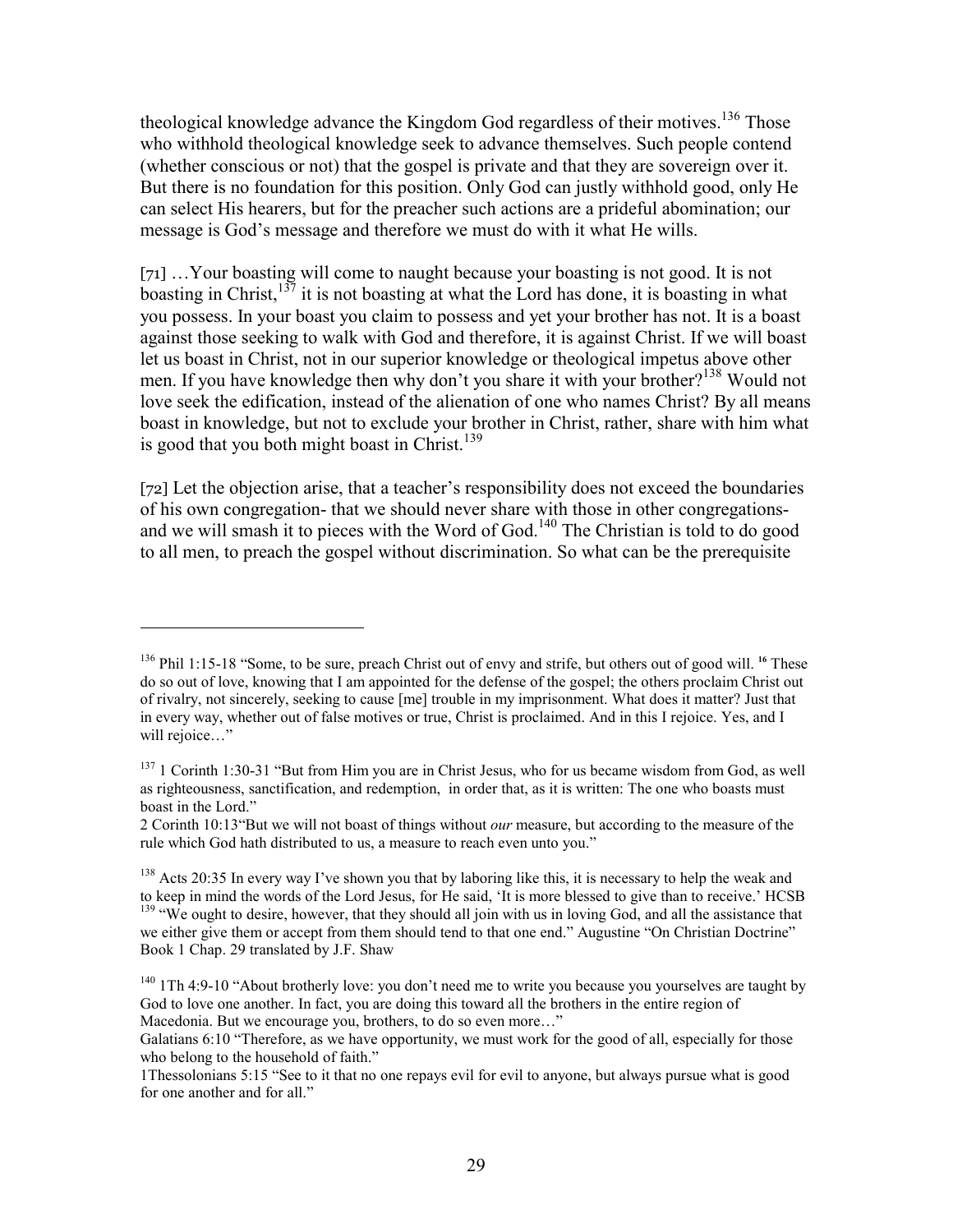theological knowledge advance the Kingdom God regardless of their motives.<sup>136</sup> Those who withhold theological knowledge seek to advance themselves. Such people contend (whether conscious or not) that the gospel is private and that they are sovereign over it. But there is no foundation for this position. Only God can justly withhold good, only He can select His hearers, but for the preacher such actions are a prideful abomination; our message is God's message and therefore we must do with it what He wills.

[71] ...Your boasting will come to naught because your boasting is not good. It is not boasting in Christ,  $137$  it is not boasting at what the Lord has done, it is boasting in what you possess. In your boast you claim to possess and yet your brother has not. It is a boast against those seeking to walk with God and therefore, it is against Christ. If we will boast let us boast in Christ, not in our superior knowledge or theological impetus above other men. If you have knowledge then why don't you share it with your brother?<sup>138</sup> Would not love seek the edification, instead of the alienation of one who names Christ? By all means boast in knowledge, but not to exclude your brother in Christ, rather, share with him what is good that you both might boast in Christ.<sup>139</sup>

[72] Let the objection arise, that a teacher's responsibility does not exceed the boundaries of his own congregation- that we should never share with those in other congregationsand we will smash it to pieces with the Word of God.<sup>140</sup> The Christian is told to do good to all men, to preach the gospel without discrimination. So what can be the prerequisite

 $136$  Phil 1:15-18 "Some, to be sure, preach Christ out of envy and strife, but others out of good will. <sup>16</sup> These do so out of love, knowing that I am appointed for the defense of the gospel; the others proclaim Christ out of rivalry, not sincerely, seeking to cause [me] trouble in my imprisonment. What does it matter? Just that in every way, whether out of false motives or true, Christ is proclaimed. And in this I rejoice. Yes, and I will rejoice…"

<sup>&</sup>lt;sup>137</sup> 1 Corinth 1:30-31 "But from Him you are in Christ Jesus, who for us became wisdom from God, as well as righteousness, sanctification, and redemption, in order that, as it is written: The one who boasts must boast in the Lord."

<sup>2</sup> Corinth 10:13"But we will not boast of things without *our* measure, but according to the measure of the rule which God hath distributed to us, a measure to reach even unto you."

 $138$  Acts 20:35 In every way I've shown you that by laboring like this, it is necessary to help the weak and to keep in mind the words of the Lord Jesus, for He said, 'It is more blessed to give than to receive.' HCSB <sup>139</sup> "We ought to desire, however, that they should all join with us in loving God, and all the assistance that we either give them or accept from them should tend to that one end." Augustine "On Christian Doctrine" Book 1 Chap. 29 translated by J.F. Shaw

<sup>&</sup>lt;sup>140</sup> 1Th 4:9-10 "About brotherly love: you don't need me to write you because you yourselves are taught by God to love one another. In fact, you are doing this toward all the brothers in the entire region of Macedonia. But we encourage you, brothers, to do so even more…"

Galatians 6:10 "Therefore, as we have opportunity, we must work for the good of all, especially for those who belong to the household of faith."

<sup>1</sup>Thessolonians 5:15 "See to it that no one repays evil for evil to anyone, but always pursue what is good for one another and for all."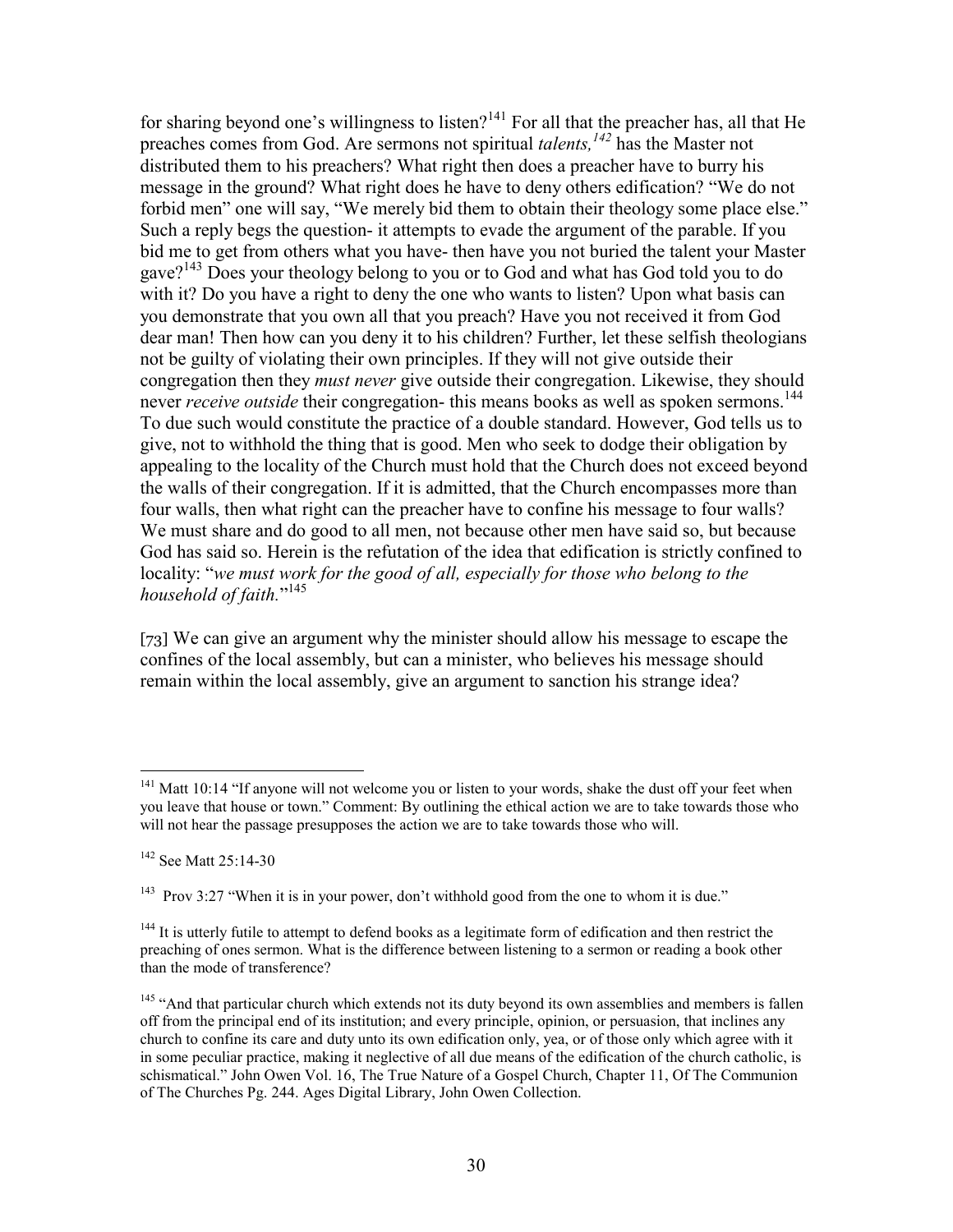for sharing beyond one's willingness to listen?<sup>141</sup> For all that the preacher has, all that He preaches comes from God. Are sermons not spiritual *talents*,<sup> $142$ </sup> has the Master not distributed them to his preachers? What right then does a preacher have to burry his message in the ground? What right does he have to deny others edification? "We do not forbid men" one will say, "We merely bid them to obtain their theology some place else." Such a reply begs the question- it attempts to evade the argument of the parable. If you bid me to get from others what you have- then have you not buried the talent your Master gave?<sup>143</sup> Does your theology belong to you or to God and what has God told you to do with it? Do you have a right to deny the one who wants to listen? Upon what basis can you demonstrate that you own all that you preach? Have you not received it from God dear man! Then how can you deny it to his children? Further, let these selfish theologians not be guilty of violating their own principles. If they will not give outside their congregation then they *must never* give outside their congregation. Likewise, they should never *receive outside* their congregation- this means books as well as spoken sermons.<sup>144</sup> To due such would constitute the practice of a double standard. However, God tells us to give, not to withhold the thing that is good. Men who seek to dodge their obligation by appealing to the locality of the Church must hold that the Church does not exceed beyond the walls of their congregation. If it is admitted, that the Church encompasses more than four walls, then what right can the preacher have to confine his message to four walls? We must share and do good to all men, not because other men have said so, but because God has said so. Herein is the refutation of the idea that edification is strictly confined to locality: "we must work for the good of all, especially for those who belong to the household of faith."<sup>145</sup>

[73] We can give an argument why the minister should allow his message to escape the confines of the local assembly, but can a minister, who believes his message should remain within the local assembly, give an argument to sanction his strange idea?

<sup>&</sup>lt;sup>141</sup> Matt 10:14 "If anyone will not welcome you or listen to your words, shake the dust off your feet when you leave that house or town." Comment: By outlining the ethical action we are to take towards those who will not hear the passage presupposes the action we are to take towards those who will.

<sup>&</sup>lt;sup>142</sup> See Matt 25:14-30

<sup>&</sup>lt;sup>143</sup> Prov 3:27 "When it is in your power, don't withhold good from the one to whom it is due."

<sup>&</sup>lt;sup>144</sup> It is utterly futile to attempt to defend books as a legitimate form of edification and then restrict the preaching of ones sermon. What is the difference between listening to a sermon or reading a book other than the mode of transference?

<sup>&</sup>lt;sup>145</sup> "And that particular church which extends not its duty beyond its own assemblies and members is fallen off from the principal end of its institution; and every principle, opinion, or persuasion, that inclines any church to confine its care and duty unto its own edification only, yea, or of those only which agree with it in some peculiar practice, making it neglective of all due means of the edification of the church catholic, is schismatical." John Owen Vol. 16, The True Nature of a Gospel Church, Chapter 11, Of The Communion of The Churches Pg. 244. Ages Digital Library, John Owen Collection.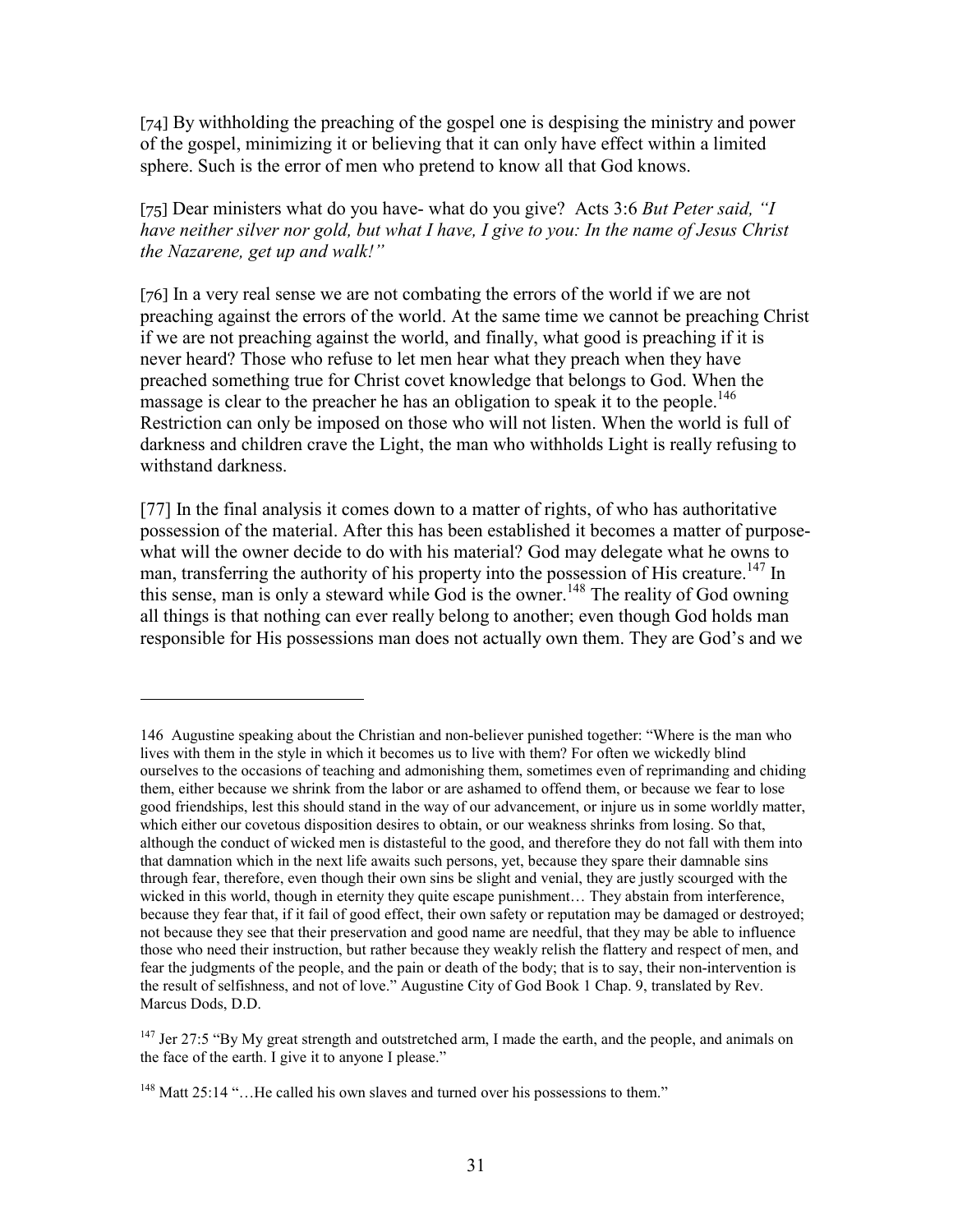[74] By withholding the preaching of the gospel one is despising the ministry and power of the gospel, minimizing it or believing that it can only have effect within a limited sphere. Such is the error of men who pretend to know all that God knows.

[75] Dear ministers what do you have- what do you give? Acts 3:6 But Peter said. "I have neither silver nor gold, but what I have, I give to you: In the name of Jesus Christ the Nazarene, get up and walk!"

[76] In a very real sense we are not combating the errors of the world if we are not preaching against the errors of the world. At the same time we cannot be preaching Christ if we are not preaching against the world, and finally, what good is preaching if it is never heard? Those who refuse to let men hear what they preach when they have preached something true for Christ covet knowledge that belongs to God. When the massage is clear to the preacher he has an obligation to speak it to the people.<sup>146</sup> Restriction can only be imposed on those who will not listen. When the world is full of darkness and children crave the Light, the man who withholds Light is really refusing to withstand darkness.

[77] In the final analysis it comes down to a matter of rights, of who has authoritative possession of the material. After this has been established it becomes a matter of purposewhat will the owner decide to do with his material? God may delegate what he owns to man, transferring the authority of his property into the possession of His creature.<sup>147</sup> In this sense, man is only a steward while God is the owner.<sup>148</sup> The reality of God owning all things is that nothing can ever really belong to another; even though God holds man responsible for His possessions man does not actually own them. They are God's and we

<sup>146</sup> Augustine speaking about the Christian and non-believer punished together: "Where is the man who lives with them in the style in which it becomes us to live with them? For often we wickedly blind ourselves to the occasions of teaching and admonishing them, sometimes even of reprimanding and chiding them, either because we shrink from the labor or are ashamed to offend them, or because we fear to lose good friendships, lest this should stand in the way of our advancement, or injure us in some worldly matter, which either our covetous disposition desires to obtain, or our weakness shrinks from losing. So that, although the conduct of wicked men is distasteful to the good, and therefore they do not fall with them into that damnation which in the next life awaits such persons, yet, because they spare their damnable sins through fear, therefore, even though their own sins be slight and venial, they are justly scourged with the wicked in this world, though in eternity they quite escape punishment... They abstain from interference, because they fear that, if it fail of good effect, their own safety or reputation may be damaged or destroyed; not because they see that their preservation and good name are needful, that they may be able to influence those who need their instruction, but rather because they weakly relish the flattery and respect of men, and fear the judgments of the people, and the pain or death of the body; that is to say, their non-intervention is the result of selfishness, and not of love." Augustine City of God Book 1 Chap. 9, translated by Rev. Marcus Dods, D.D.

 $147$  Jer 27:5 "By My great strength and outstretched arm, I made the earth, and the people, and animals on the face of the earth. I give it to anyone I please."

<sup>&</sup>lt;sup>148</sup> Matt 25:14 "...He called his own slaves and turned over his possessions to them."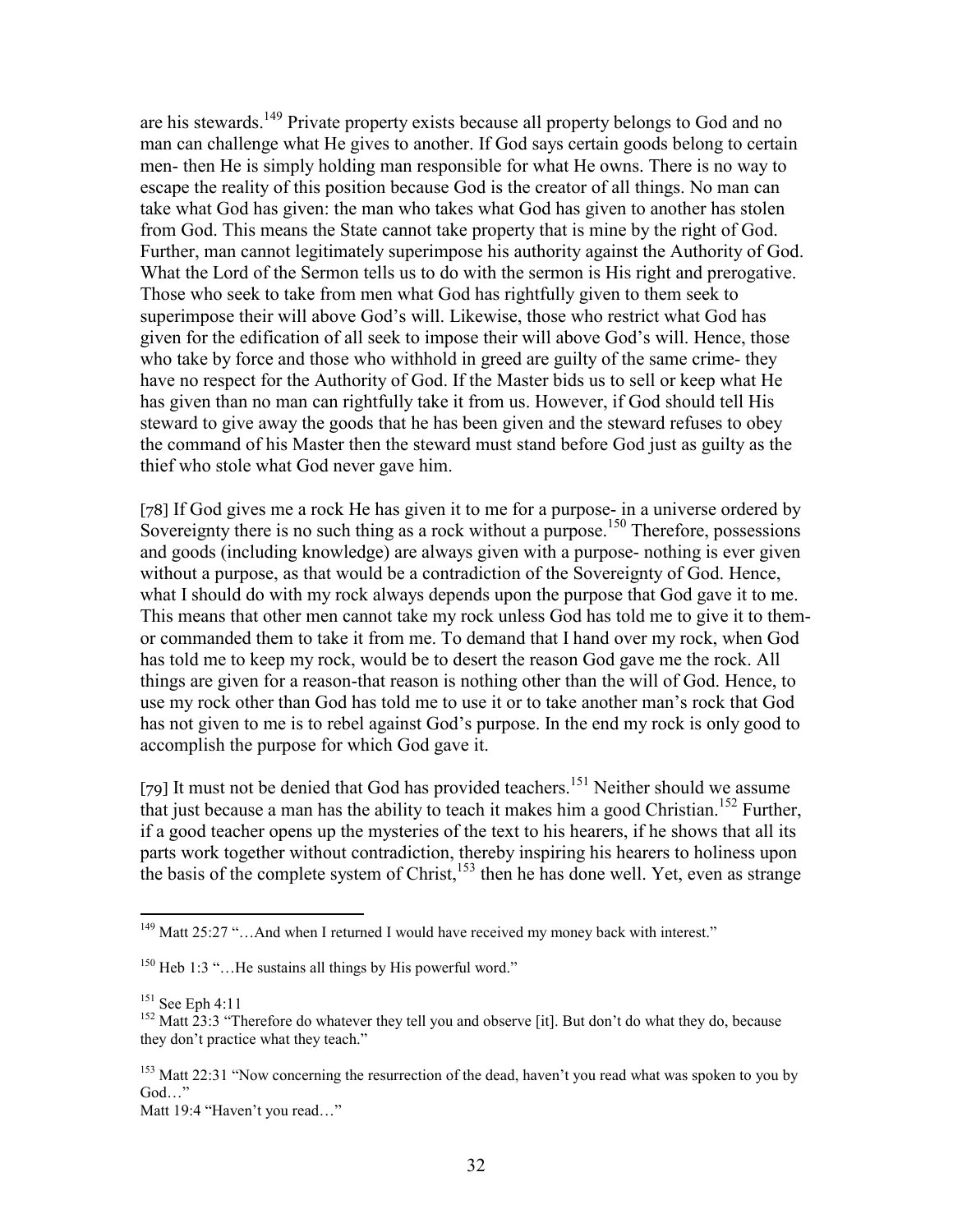are his stewards.<sup>149</sup> Private property exists because all property belongs to God and no man can challenge what He gives to another. If God says certain goods belong to certain men- then He is simply holding man responsible for what He owns. There is no way to escape the reality of this position because God is the creator of all things. No man can take what God has given: the man who takes what God has given to another has stolen from God. This means the State cannot take property that is mine by the right of God. Further, man cannot legitimately superimpose his authority against the Authority of God. What the Lord of the Sermon tells us to do with the sermon is His right and prerogative. Those who seek to take from men what God has rightfully given to them seek to superimpose their will above God's will. Likewise, those who restrict what God has given for the edification of all seek to impose their will above God's will. Hence, those who take by force and those who withhold in greed are guilty of the same crime- they have no respect for the Authority of God. If the Master bids us to sell or keep what He has given than no man can rightfully take it from us. However, if God should tell His steward to give away the goods that he has been given and the steward refuses to obey the command of his Master then the steward must stand before God just as guilty as the thief who stole what God never gave him.

[78] If God gives me a rock He has given it to me for a purpose- in a universe ordered by Sovereignty there is no such thing as a rock without a purpose.<sup>150</sup> Therefore, possessions and goods (including knowledge) are always given with a purpose- nothing is ever given without a purpose, as that would be a contradiction of the Sovereignty of God. Hence, what I should do with my rock always depends upon the purpose that God gave it to me. This means that other men cannot take my rock unless God has told me to give it to themor commanded them to take it from me. To demand that I hand over my rock, when God has told me to keep my rock, would be to desert the reason God gave me the rock. All things are given for a reason-that reason is nothing other than the will of God. Hence, to use my rock other than God has told me to use it or to take another man's rock that God has not given to me is to rebel against God's purpose. In the end my rock is only good to accomplish the purpose for which God gave it.

[79] It must not be denied that God has provided teachers.<sup>151</sup> Neither should we assume that just because a man has the ability to teach it makes him a good Christian.<sup>152</sup> Further, if a good teacher opens up the mysteries of the text to his hearers, if he shows that all its parts work together without contradiction, thereby inspiring his hearers to holiness upon the basis of the complete system of Christ,  $^{153}$  then he has done well. Yet, even as strange

 $\overline{a}$  $149$  Matt 25:27 "...And when I returned I would have received my money back with interest."

 $150$  Heb 1:3 "...He sustains all things by His powerful word."

<sup>151</sup> See Eph 4:11

<sup>&</sup>lt;sup>152</sup> Matt 23:3 "Therefore do whatever they tell you and observe [it]. But don't do what they do, because they don't practice what they teach."

<sup>&</sup>lt;sup>153</sup> Matt 22:31 "Now concerning the resurrection of the dead, haven't you read what was spoken to you by God…"

Matt 19:4 "Haven't you read…"